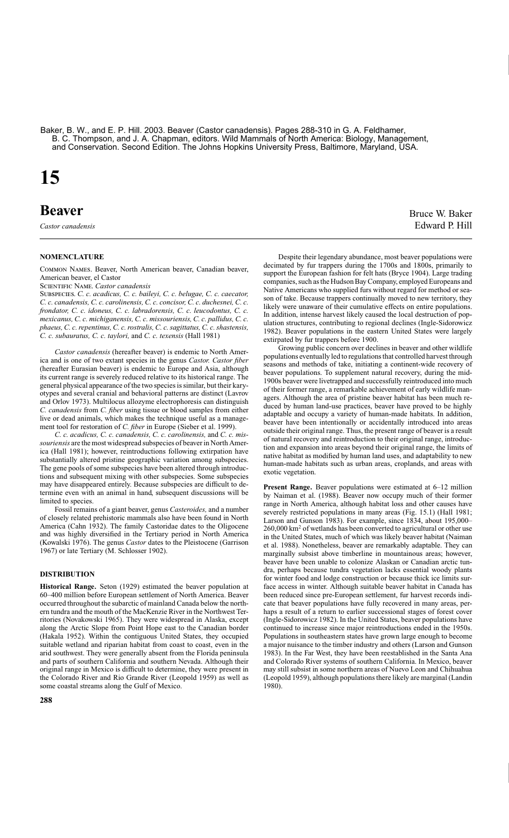Baker, B. W., and E. P. Hill. 2003. Beaver (Castor canadensis). Pages 288-310 in G. A. Feldhamer, B. C. Thompson, and J. A. Chapman, editors. Wild Mammals of North America: Biology, Management, and Conservation. Second Edition. The Johns Hopkins University Press, Baltimore, Maryland, USA.

# **15**

# **Beaver** Bruce W. Baker

*Castor canadensis* Edward P. Hill

# **NOMENCLATURE**

COMMON NAMES. Beaver, North American beaver, Canadian beaver, American beaver, el Castor

SCIENTIFIC NAME Castor canadensis

SUBSPECIES. C. c. acadicus, C. c. baileyi, C. c. belugae, C. c. caecator, *C. c. canadensis, C. c. carolinensis, C. c. concisor, C. c. duchesnei, C. c. frondator, C. c. idoneus, C. c. labradorensis, C. c. leucodontus, C. c. mexicanus, C. c. michiganensis, C. c. missouriensis, C. c. pallidus, C. c. phaeus, C. c. repentinus, C. c. rostralis, C. c. sagittatus, C. c. shastensis, C. c. subauratus, C. c. taylori,* and *C. c. texensis* (Hall 1981)

*Castor canadensis* (hereafter beaver) is endemic to North America and is one of two extant species in the genus *Castor. Castor fiber*  (hereafter Eurasian beaver) is endemic to Europe and Asia, although its current range is severely reduced relative to its historical range. The general physical appearance of the two species is similar, but their karyotypes and several cranial and behavioral patterns are distinct (Lavrov and Orlov 1973). Multilocus allozyme electrophoresis can distinguish *C. canadensis* from *C. fiber* using tissue or blood samples from either live or dead animals, which makes the technique useful as a management tool for restoration of *C. fiber* in Europe (Sieber et al. 1999).

*C. c. acadicus, C. c. canadensis, C. c. carolinensis,* and *C. c. missouriensis* are the most widespread subspecies of beaver in North America (Hall 1981); however, reintroductions following extirpation have substantially altered pristine geographic variation among subspecies. The gene pools of some subspecies have been altered through introductions and subsequent mixing with other subspecies. Some subspecies may have disappeared entirely. Because subspecies are difficult to determine even with an animal in hand, subsequent discussions will be limited to species.

Fossil remains of a giant beaver, genus *Casteroides,* and a number of closely related prehistoric mammals also have been found in North America (Cahn 1932). The family Castoridae dates to the Oligocene and was highly diversified in the Tertiary period in North America (Kowalski 1976). The genus *Castor* dates to the Pleistocene (Garrison 1967) or late Tertiary (M. Schlosser 1902).

# **DISTRIBUTION**

**Historical Range.** Seton (1929) estimated the beaver population at 60–400 million before European settlement of North America. Beaver occurred throughout the subarctic of mainland Canada below the northern tundra and the mouth of the MacKenzie River in the Northwest Territories (Novakowski 1965). They were widespread in Alaska, except along the Arctic Slope from Point Hope east to the Canadian border (Hakala 1952). Within the contiguous United States, they occupied suitable wetland and riparian habitat from coast to coast, even in the arid southwest. They were generally absent from the Florida peninsula and parts of southern California and southern Nevada. Although their original range in Mexico is difficult to determine, they were present in the Colorado River and Rio Grande River (Leopold 1959) as well as some coastal streams along the Gulf of Mexico.

support the European fashion for felt hats (Bryce 1904). Large trading companies, such as the Hudson Bay Company, employed Europeans and Native Americans who supplied furs without regard for method or season of take. Because trappers continually moved to new territory, they likely were unaware of their cumulative effects on entire populations. In addition, intense harvest likely caused the local destruction of population structures, contributing to regional declines (Ingle-Sidorowicz 1982). Beaver populations in the eastern United States were largely extirpated by fur trappers before 1900. Growing public concern over declines in beaver and other wildlife

Despite their legendary abundance, most beaver populations were decimated by fur trappers during the 1700s and 1800s, primarily to

populations eventually led to regulations that controlled harvest through seasons and methods of take, initiating a continent-wide recovery of beaver populations. To supplement natural recovery, during the mid-1900s beaver were livetrapped and successfully reintroduced into much of their former range, a remarkable achievement of early wildlife managers. Although the area of pristine beaver habitat has been much reduced by human land-use practices, beaver have proved to be highly adaptable and occupy a variety of human-made habitats. In addition, beaver have been intentionally or accidentally introduced into areas outside their original range. Thus, the present range of beaver is a result of natural recovery and reintroduction to their original range, introduction and expansion into areas beyond their original range, the limits of native habitat as modified by human land uses, and adaptability to new human-made habitats such as urban areas, croplands, and areas with exotic vegetation.

**Present Range.** Beaver populations were estimated at 6–12 million by Naiman et al. (1988). Beaver now occupy much of their former range in North America, although habitat loss and other causes have severely restricted populations in many areas (Fig. 15.1) (Hall 1981; Larson and Gunson 1983). For example, since 1834, about 195,000– 260,000 km2 of wetlands has been converted to agricultural or other use in the United States, much of which was likely beaver habitat (Naiman et al. 1988). Nonetheless, beaver are remarkably adaptable. They can marginally subsist above timberline in mountainous areas; however, beaver have been unable to colonize Alaskan or Canadian arctic tundra, perhaps because tundra vegetation lacks essential woody plants for winter food and lodge construction or because thick ice limits surface access in winter. Although suitable beaver habitat in Canada has been reduced since pre-European settlement, fur harvest records indicate that beaver populations have fully recovered in many areas, perhaps a result of a return to earlier successional stages of forest cover (Ingle-Sidorowicz 1982). In the United States, beaver populations have continued to increase since major reintroductions ended in the 1950s. Populations in southeastern states have grown large enough to become a major nuisance to the timber industry and others (Larson and Gunson 1983). In the Far West, they have been reestablished in the Santa Ana and Colorado River systems of southern California. In Mexico, beaver may still subsist in some northern areas of Nuevo Leon and Chihuahua (Leopold 1959), although populations there likely are marginal (Landin 1980).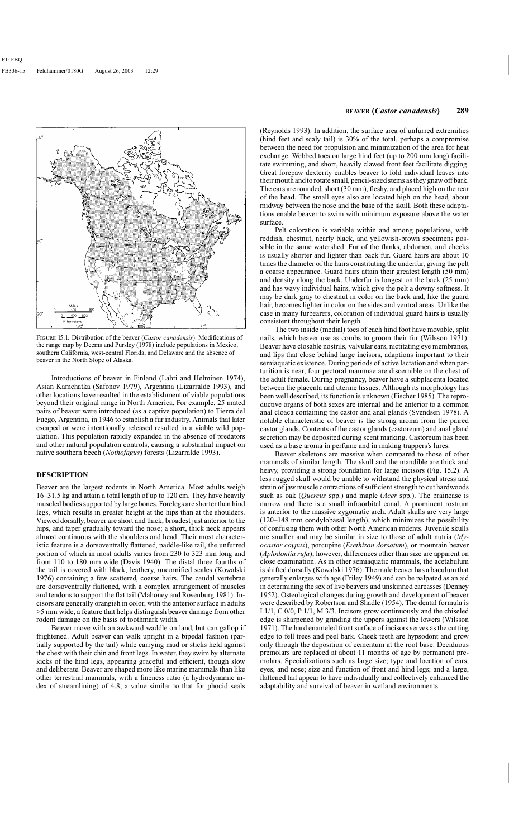

FIGURE 15.1. Distribution of the beaver (*Castor canadensis*). Modifications of the range map by Deems and Pursley (1978) include populations in Mexico, southern California, west-central Florida, and Delaware and the absence of beaver in the North Slope of Alaska.

Introductions of beaver in Finland (Lahti and Helminen 1974), Asian Kamchatka (Safonov 1979), Argentina (Lizarralde 1993), and other locations have resulted in the establishment of viable populations beyond their original range in North America. For example, 25 mated pairs of beaver were introduced (as a captive population) to Tierra del Fuego, Argentina, in 1946 to establish a fur industry. Animals that later escaped or were intentionally released resulted in a viable wild population. This population rapidly expanded in the absence of predators and other natural population controls, causing a substantial impact on native southern beech (*Nothofagus*) forests (Lizarralde 1993).

#### **DESCRIPTION**

Beaver are the largest rodents in North America. Most adults weigh 16–31.5 kg and attain a total length of up to 120 cm. They have heavily muscled bodies supported by large bones. Forelegs are shorter than hind legs, which results in greater height at the hips than at the shoulders. Viewed dorsally, beaver are short and thick, broadest just anterior to the hips, and taper gradually toward the nose; a short, thick neck appears almost continuous with the shoulders and head. Their most characteristic feature is a dorsoventrally flattened, paddle-like tail, the unfurred portion of which in most adults varies from 230 to 323 mm long and from 110 to 180 mm wide (Davis 1940). The distal three fourths of the tail is covered with black, leathery, uncornified scales (Kowalski 1976) containing a few scattered, coarse hairs. The caudal vertebrae are dorsoventrally flattened, with a complex arrangement of muscles and tendons to support the flat tail (Mahoney and Rosenburg 1981). Incisors are generally orangish in color, with the anterior surface in adults >5 mm wide, a feature that helps distinguish beaver damage from other rodent damage on the basis of toothmark width.

Beaver move with an awkward waddle on land, but can gallop if frightened. Adult beaver can walk upright in a bipedal fashion (partially supported by the tail) while carrying mud or sticks held against the chest with their chin and front legs. In water, they swim by alternate kicks of the hind legs, appearing graceful and efficient, though slow and deliberate. Beaver are shaped more like marine mammals than like other terrestrial mammals, with a fineness ratio (a hydrodynamic index of streamlining) of 4.8, a value similar to that for phocid seals

(Reynolds 1993). In addition, the surface area of unfurred extremities (hind feet and scaly tail) is 30% of the total, perhaps a compromise between the need for propulsion and minimization of the area for heat exchange. Webbed toes on large hind feet (up to 200 mm long) facilitate swimming, and short, heavily clawed front feet facilitate digging. Great forepaw dexterity enables beaver to fold individual leaves into their mouth and to rotate small, pencil-sized stems as they gnaw off bark. The ears are rounded, short (30 mm), fleshy, and placed high on the rear of the head. The small eyes also are located high on the head, about midway between the nose and the base of the skull. Both these adaptations enable beaver to swim with minimum exposure above the water surface.

Pelt coloration is variable within and among populations, with reddish, chestnut, nearly black, and yellowish-brown specimens possible in the same watershed. Fur of the flanks, abdomen, and cheeks is usually shorter and lighter than back fur. Guard hairs are about 10 times the diameter of the hairs constituting the underfur, giving the pelt a coarse appearance. Guard hairs attain their greatest length (50 mm) and density along the back. Underfur is longest on the back (25 mm) and has wavy individual hairs, which give the pelt a downy softness. It may be dark gray to chestnut in color on the back and, like the guard hair, becomes lighter in color on the sides and ventral areas. Unlike the case in many furbearers, coloration of individual guard hairs is usually consistent throughout their length.

The two inside (medial) toes of each hind foot have movable, split nails, which beaver use as combs to groom their fur (Wilsson 1971). Beaver have closable nostrils, valvular ears, nictitating eye membranes, and lips that close behind large incisors, adaptions important to their semiaquatic existence. During periods of active lactation and when parturition is near, four pectoral mammae are discernible on the chest of the adult female. During pregnancy, beaver have a subplacenta located between the placenta and uterine tissues. Although its morphology has been well described, its function is unknown (Fischer 1985). The reproductive organs of both sexes are internal and lie anterior to a common anal cloaca containing the castor and anal glands (Svendsen 1978). A notable characteristic of beaver is the strong aroma from the paired castor glands. Contents of the castor glands (castoreum) and anal gland secretion may be deposited during scent marking. Castoreum has been used as a base aroma in perfume and in making trappers's lures.

Beaver skeletons are massive when compared to those of other mammals of similar length. The skull and the mandible are thick and heavy, providing a strong foundation for large incisors (Fig. 15.2). A less rugged skull would be unable to withstand the physical stress and strain of jaw muscle contractions of sufficient strength to cut hardwoods such as oak (*Quercus* spp.) and maple (*Acer* spp.). The braincase is narrow and there is a small infraorbital canal. A prominent rostrum is anterior to the massive zygomatic arch. Adult skulls are very large (120–148 mm condylobasal length), which minimizes the possibility of confusing them with other North American rodents. Juvenile skulls are smaller and may be similar in size to those of adult nutria (*Myocastor coypus*), porcupine (*Erethizon dorsatum*), or mountain beaver (*Aplodontia rufa*); however, differences other than size are apparent on close examination. As in other semiaquatic mammals, the acetabulum is shifted dorsally (Kowalski 1976). The male beaver has a baculum that generally enlarges with age (Friley 1949) and can be palpated as an aid in determining the sex of live beavers and unskinned carcasses (Denney 1952). Osteological changes during growth and development of beaver were described by Robertson and Shadle (1954). The dental formula is I 1/1, C 0/0, P 1/1, M 3/3. Incisors grow continuously and the chiseled edge is sharpened by grinding the uppers against the lowers (Wilsson 1971). The hard enameled front surface of incisors serves as the cutting edge to fell trees and peel bark. Cheek teeth are hypsodont and grow only through the deposition of cementum at the root base. Deciduous premolars are replaced at about 11 months of age by permanent premolars. Specializations such as large size; type and location of ears, eyes, and nose; size and function of front and hind legs; and a large, flattened tail appear to have individually and collectively enhanced the adaptability and survival of beaver in wetland environments.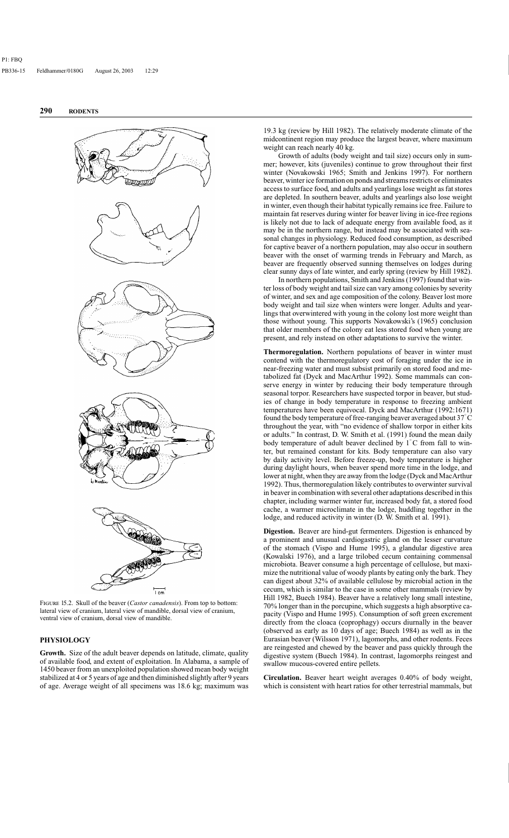

FIGURE 15.2. Skull of the beaver (*Castor canadensis*). From top to bottom: lateral view of cranium, lateral view of mandible, dorsal view of cranium, ventral view of cranium, dorsal view of mandible.

# **PHYSIOLOGY**

**Growth.** Size of the adult beaver depends on latitude, climate, quality of available food, and extent of exploitation. In Alabama, a sample of 1450 beaver from an unexploited population showed mean body weight stabilized at 4 or 5 years of age and then diminished slightly after 9 years of age. Average weight of all specimens was 18.6 kg; maximum was

19.3 kg (review by Hill 1982). The relatively moderate climate of the midcontinent region may produce the largest beaver, where maximum weight can reach nearly 40 kg.

Growth of adults (body weight and tail size) occurs only in summer; however, kits (juveniles) continue to grow throughout their first winter (Novakowski 1965; Smith and Jenkins 1997). For northern beaver, winter ice formation on ponds and streams restricts or eliminates access to surface food, and adults and yearlings lose weight as fat stores are depleted. In southern beaver, adults and yearlings also lose weight in winter, even though their habitat typically remains ice free. Failure to maintain fat reserves during winter for beaver living in ice-free regions is likely not due to lack of adequate energy from available food, as it may be in the northern range, but instead may be associated with seasonal changes in physiology. Reduced food consumption, as described for captive beaver of a northern population, may also occur in southern beaver with the onset of warming trends in February and March, as beaver are frequently observed sunning themselves on lodges during clear sunny days of late winter, and early spring (review by Hill 1982).

In northern populations, Smith and Jenkins (1997) found that winter loss of body weight and tail size can vary among colonies by severity of winter, and sex and age composition of the colony. Beaver lost more body weight and tail size when winters were longer. Adults and yearlings that overwintered with young in the colony lost more weight than those without young. This supports Novakowski's (1965) conclusion that older members of the colony eat less stored food when young are present, and rely instead on other adaptations to survive the winter.

**Thermoregulation.** Northern populations of beaver in winter must contend with the thermoregulatory cost of foraging under the ice in near-freezing water and must subsist primarily on stored food and metabolized fat (Dyck and MacArthur 1992). Some mammals can conserve energy in winter by reducing their body temperature through seasonal torpor. Researchers have suspected torpor in beaver, but studies of change in body temperature in response to freezing ambient temperatures have been equivocal. Dyck and MacArthur (1992:1671) found the body temperature of free-ranging beaver averaged about 37◦ C throughout the year, with "no evidence of shallow torpor in either kits or adults." In contrast, D. W. Smith et al. (1991) found the mean daily body temperature of adult beaver declined by  $1°C$  from fall to winter, but remained constant for kits. Body temperature can also vary by daily activity level. Before freeze-up, body temperature is higher during daylight hours, when beaver spend more time in the lodge, and lower at night, when they are away from the lodge (Dyck and MacArthur 1992). Thus, thermoregulation likely contributes to overwinter survival in beaver in combination with several other adaptations described in this chapter, including warmer winter fur, increased body fat, a stored food cache, a warmer microclimate in the lodge, huddling together in the lodge, and reduced activity in winter (D. W. Smith et al. 1991).

**Digestion.** Beaver are hind-gut fermenters. Digestion is enhanced by a prominent and unusual cardiogastric gland on the lesser curvature of the stomach (Vispo and Hume 1995), a glandular digestive area (Kowalski 1976), and a large trilobed cecum containing commensal microbiota. Beaver consume a high percentage of cellulose, but maximize the nutritional value of woody plants by eating only the bark. They can digest about 32% of available cellulose by microbial action in the cecum, which is similar to the case in some other mammals (review by Hill 1982, Buech 1984). Beaver have a relatively long small intestine, 70% longer than in the porcupine, which suggests a high absorptive capacity (Vispo and Hume 1995). Consumption of soft green excrement directly from the cloaca (coprophagy) occurs diurnally in the beaver (observed as early as 10 days of age; Buech 1984) as well as in the Eurasian beaver (Wilsson 1971), lagomorphs, and other rodents. Feces are reingested and chewed by the beaver and pass quickly through the digestive system (Buech 1984). In contrast, lagomorphs reingest and swallow mucous-covered entire pellets.

**Circulation.** Beaver heart weight averages 0.40% of body weight, which is consistent with heart ratios for other terrestrial mammals, but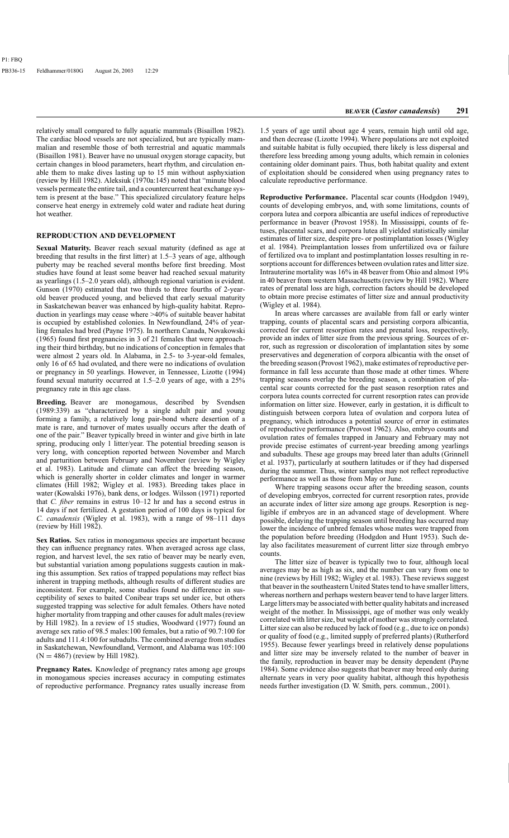relatively small compared to fully aquatic mammals (Bisaillon 1982). The cardiac blood vessels are not specialized, but are typically mammalian and resemble those of both terrestrial and aquatic mammals (Bisaillon 1981). Beaver have no unusual oxygen storage capacity, but certain changes in blood parameters, heart rhythm, and circulation enable them to make dives lasting up to 15 min without asphyxiation (review by Hill 1982). Aleksiuk (1970a:145) noted that "minute blood vessels permeate the entire tail, and a countercurrent heat exchange system is present at the base." This specialized circulatory feature helps conserve heat energy in extremely cold water and radiate heat during hot weather.

# **REPRODUCTION AND DEVELOPMENT**

**Sexual Maturity.** Beaver reach sexual maturity (defined as age at breeding that results in the first litter) at 1.5–3 years of age, although puberty may be reached several months before first breeding. Most studies have found at least some beaver had reached sexual maturity as yearlings (1.5–2.0 years old), although regional variation is evident. Gunson (1970) estimated that two thirds to three fourths of 2-yearold beaver produced young, and believed that early sexual maturity in Saskatchewan beaver was enhanced by high-quality habitat. Reproduction in yearlings may cease where >40% of suitable beaver habitat is occupied by established colonies. In Newfoundland, 24% of yearling females had bred (Payne 1975). In northern Canada, Novakowski (1965) found first pregnancies in 3 of 21 females that were approaching their third birthday, but no indications of conception in females that were almost 2 years old. In Alabama, in 2.5- to 3-year-old females, only 16 of 65 had ovulated, and there were no indications of ovulation or pregnancy in 50 yearlings. However, in Tennessee, Lizotte (1994) found sexual maturity occurred at 1.5–2.0 years of age, with a 25% pregnancy rate in this age class.

**Breeding.** Beaver are monogamous, described by Svendsen (1989:339) as "characterized by a single adult pair and young forming a family, a relatively long pair-bond where desertion of a mate is rare, and turnover of mates usually occurs after the death of one of the pair." Beaver typically breed in winter and give birth in late spring, producing only 1 litter/year. The potential breeding season is very long, with conception reported between November and March and parturition between February and November (review by Wigley et al. 1983). Latitude and climate can affect the breeding season, which is generally shorter in colder climates and longer in warmer climates (Hill 1982; Wigley et al. 1983). Breeding takes place in water (Kowalski 1976), bank dens, or lodges. Wilsson (1971) reported that *C. fiber* remains in estrus 10–12 hr and has a second estrus in 14 days if not fertilized. A gestation period of 100 days is typical for *C. canadensis* (Wigley et al. 1983), with a range of 98–111 days (review by Hill 1982).

**Sex Ratios.** Sex ratios in monogamous species are important because they can influence pregnancy rates. When averaged across age class, region, and harvest level, the sex ratio of beaver may be nearly even, but substantial variation among populations suggests caution in making this assumption. Sex ratios of trapped populations may reflect bias inherent in trapping methods, although results of different studies are inconsistent. For example, some studies found no difference in susceptibility of sexes to baited Conibear traps set under ice, but others suggested trapping was selective for adult females. Others have noted higher mortality from trapping and other causes for adult males (review by Hill 1982). In a review of 15 studies, Woodward (1977) found an average sex ratio of 98.5 males:100 females, but a ratio of 90.7:100 for adults and 111.4:100 for subadults. The combined average from studies in Saskatchewan, Newfoundland, Vermont, and Alabama was 105:100  $(N = 4867)$  (review by Hill 1982).

**Pregnancy Rates.** Knowledge of pregnancy rates among age groups in monogamous species increases accuracy in computing estimates of reproductive performance. Pregnancy rates usually increase from

1.5 years of age until about age 4 years, remain high until old age, and then decrease (Lizotte 1994). Where populations are not exploited and suitable habitat is fully occupied, there likely is less dispersal and therefore less breeding among young adults, which remain in colonies containing older dominant pairs. Thus, both habitat quality and extent of exploitation should be considered when using pregnancy rates to calculate reproductive performance.

**Reproductive Performance.** Placental scar counts (Hodgdon 1949), counts of developing embryos, and, with some limitations, counts of corpora lutea and corpora albicantia are useful indices of reproductive performance in beaver (Provost 1958). In Mississippi, counts of fetuses, placental scars, and corpora lutea all yielded statistically similar estimates of litter size, despite pre- or postimplantation losses (Wigley et al. 1984). Preimplantation losses from unfertilized ova or failure of fertilized ova to implant and postimplantation losses resulting in resorptions account for differences between ovulation rates and litter size. Intrauterine mortality was 16% in 48 beaver from Ohio and almost 19% in 40 beaver from western Massachusetts (review by Hill 1982). Where rates of prenatal loss are high, correction factors should be developed to obtain more precise estimates of litter size and annual productivity (Wigley et al. 1984).

In areas where carcasses are available from fall or early winter trapping, counts of placental scars and persisting corpora albicantia, corrected for current resorption rates and prenatal loss, respectively, provide an index of litter size from the previous spring. Sources of error, such as regression or discoloration of implantation sites by some preservatives and degeneration of corpora albicantia with the onset of the breeding season (Provost 1962), make estimates of reproductive performance in fall less accurate than those made at other times. Where trapping seasons overlap the breeding season, a combination of placental scar counts corrected for the past season resorption rates and corpora lutea counts corrected for current resorption rates can provide information on litter size. However, early in gestation, it is difficult to distinguish between corpora lutea of ovulation and corpora lutea of pregnancy, which introduces a potential source of error in estimates of reproductive performance (Provost 1962). Also, embryo counts and ovulation rates of females trapped in January and February may not provide precise estimates of current-year breeding among yearlings and subadults. These age groups may breed later than adults (Grinnell et al. 1937), particularly at southern latitudes or if they had dispersed during the summer. Thus, winter samples may not reflect reproductive performance as well as those from May or June.

Where trapping seasons occur after the breeding season, counts of developing embryos, corrected for current resorption rates, provide an accurate index of litter size among age groups. Resorption is negligible if embryos are in an advanced stage of development. Where possible, delaying the trapping season until breeding has occurred may lower the incidence of unbred females whose mates were trapped from the population before breeding (Hodgdon and Hunt 1953). Such delay also facilitates measurement of current litter size through embryo counts.

The litter size of beaver is typically two to four, although local averages may be as high as six, and the number can vary from one to nine (reviews by Hill 1982; Wigley et al. 1983). These reviews suggest that beaver in the southeastern United States tend to have smaller litters, whereas northern and perhaps western beaver tend to have larger litters. Large litters may be associated with better quality habitats and increased weight of the mother. In Mississippi, age of mother was only weakly correlated with litter size, but weight of mother was strongly correlated. Litter size can also be reduced by lack of food (e.g., due to ice on ponds) or quality of food (e.g., limited supply of preferred plants) (Rutherford 1955). Because fewer yearlings breed in relatively dense populations and litter size may be inversely related to the number of beaver in the family, reproduction in beaver may be density dependent (Payne 1984). Some evidence also suggests that beaver may breed only during alternate years in very poor quality habitat, although this hypothesis needs further investigation (D. W. Smith, pers. commun., 2001).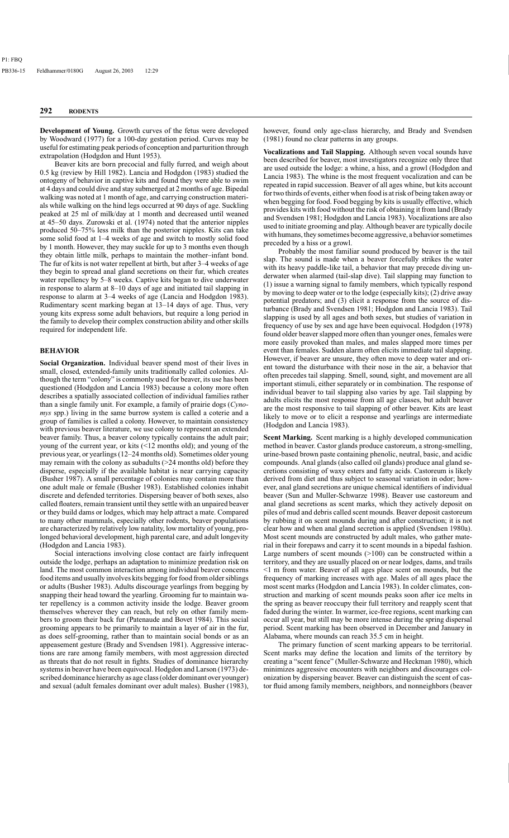**Development of Young.** Growth curves of the fetus were developed by Woodward (1977) for a 100-day gestation period. Curves may be useful for estimating peak periods of conception and parturition through extrapolation (Hodgdon and Hunt 1953).

Beaver kits are born precocial and fully furred, and weigh about 0.5 kg (review by Hill 1982). Lancia and Hodgdon (1983) studied the ontogeny of behavior in captive kits and found they were able to swim at 4 days and could dive and stay submerged at 2 months of age. Bipedal walking was noted at 1 month of age, and carrying construction materials while walking on the hind legs occurred at 90 days of age. Suckling peaked at 25 ml of milk/day at 1 month and decreased until weaned at 45–50 days. Zurowski et al. (1974) noted that the anterior nipples produced 50–75% less milk than the posterior nipples. Kits can take some solid food at 1–4 weeks of age and switch to mostly solid food by 1 month. However, they may suckle for up to 3 months even though they obtain little milk, perhaps to maintain the mother–infant bond. The fur of kits is not water repellent at birth, but after 3–4 weeks of age they begin to spread anal gland secretions on their fur, which creates water repellency by 5–8 weeks. Captive kits began to dive underwater in response to alarm at 8–10 days of age and initiated tail slapping in response to alarm at 3–4 weeks of age (Lancia and Hodgdon 1983). Rudimentary scent marking began at 13–14 days of age. Thus, very young kits express some adult behaviors, but require a long period in the family to develop their complex construction ability and other skills required for independent life.

#### **BEHAVIOR**

**Social Organization.** Individual beaver spend most of their lives in small, closed, extended-family units traditionally called colonies. Although the term "colony" is commonly used for beaver, its use has been questioned (Hodgdon and Lancia 1983) because a colony more often describes a spatially associated collection of individual families rather than a single family unit. For example, a family of prairie dogs (*Cynomys* spp.) living in the same burrow system is called a coterie and a group of families is called a colony. However, to maintain consistency with previous beaver literature, we use colony to represent an extended beaver family. Thus, a beaver colony typically contains the adult pair; young of the current year, or kits (<12 months old); and young of the previous year, or yearlings (12–24 months old). Sometimes older young may remain with the colony as subadults  $($ >24 months old) before they disperse, especially if the available habitat is near carrying capacity (Busher 1987). A small percentage of colonies may contain more than one adult male or female (Busher 1983). Established colonies inhabit discrete and defended territories. Dispersing beaver of both sexes, also called floaters, remain transient until they settle with an unpaired beaver or they build dams or lodges, which may help attract a mate. Compared to many other mammals, especially other rodents, beaver populations are characterized by relatively low natality, low mortality of young, prolonged behavioral development, high parental care, and adult longevity (Hodgdon and Lancia 1983).

Social interactions involving close contact are fairly infrequent outside the lodge, perhaps an adaptation to minimize predation risk on land. The most common interaction among individual beaver concerns food items and usually involves kits begging for food from older siblings or adults (Busher 1983). Adults discourage yearlings from begging by snapping their head toward the yearling. Grooming fur to maintain water repellency is a common activity inside the lodge. Beaver groom themselves wherever they can reach, but rely on other family members to groom their back fur (Patenaude and Bovet 1984). This social grooming appears to be primarily to maintain a layer of air in the fur, as does self-grooming, rather than to maintain social bonds or as an appeasement gesture (Brady and Svendsen 1981). Aggressive interactions are rare among family members, with most aggression directed as threats that do not result in fights. Studies of dominance hierarchy systems in beaver have been equivocal. Hodgdon and Larson (1973) described dominance hierarchy as age class (older dominant over younger) and sexual (adult females dominant over adult males). Busher (1983),

however, found only age-class hierarchy, and Brady and Svendsen (1981) found no clear patterns in any groups.

**Vocalizations and Tail Slapping.** Although seven vocal sounds have been described for beaver, most investigators recognize only three that are used outside the lodge: a whine, a hiss, and a growl (Hodgdon and Lancia 1983). The whine is the most frequent vocalization and can be repeated in rapid succession. Beaver of all ages whine, but kits account for two thirds of events, either when food is at risk of being taken away or when begging for food. Food begging by kits is usually effective, which provides kits with food without the risk of obtaining it from land (Brady and Svendsen 1981; Hodgdon and Lancia 1983). Vocalizations are also used to initiate grooming and play. Although beaver are typically docile with humans, they sometimes become aggressive, a behavior sometimes preceded by a hiss or a growl.

Probably the most familiar sound produced by beaver is the tail slap. The sound is made when a beaver forcefully strikes the water with its heavy paddle-like tail, a behavior that may precede diving underwater when alarmed (tail-slap dive). Tail slapping may function to (1) issue a warning signal to family members, which typically respond by moving to deep water or to the lodge (especially kits); (2) drive away potential predators; and (3) elicit a response from the source of disturbance (Brady and Svendsen 1981; Hodgdon and Lancia 1983). Tail slapping is used by all ages and both sexes, but studies of variation in frequency of use by sex and age have been equivocal. Hodgdon (1978) found older beaver slapped more often than younger ones, females were more easily provoked than males, and males slapped more times per event than females. Sudden alarm often elicits immediate tail slapping. However, if beaver are unsure, they often move to deep water and orient toward the disturbance with their nose in the air, a behavior that often precedes tail slapping. Smell, sound, sight, and movement are all important stimuli, either separately or in combination. The response of individual beaver to tail slapping also varies by age. Tail slapping by adults elicits the most response from all age classes, but adult beaver are the most responsive to tail slapping of other beaver. Kits are least likely to move or to elicit a response and yearlings are intermediate (Hodgdon and Lancia 1983).

**Scent Marking.** Scent marking is a highly developed communication method in beaver. Castor glands produce castoreum, a strong-smelling, urine-based brown paste containing phenolic, neutral, basic, and acidic compounds. Anal glands (also called oil glands) produce anal gland secretions consisting of waxy esters and fatty acids. Castoreum is likely derived from diet and thus subject to seasonal variation in odor; however, anal gland secretions are unique chemical identifiers of individual beaver (Sun and Muller-Schwarze 1998). Beaver use castoreum and anal gland secretions as scent marks, which they actively deposit on piles of mud and debris called scent mounds. Beaver deposit castoreum by rubbing it on scent mounds during and after construction; it is not clear how and when anal gland secretion is applied (Svendsen 1980a). Most scent mounds are constructed by adult males, who gather material in their forepaws and carry it to scent mounds in a bipedal fashion. Large numbers of scent mounds  $(>100)$  can be constructed within a territory, and they are usually placed on or near lodges, dams, and trails <1 m from water. Beaver of all ages place scent on mounds, but the frequency of marking increases with age. Males of all ages place the most scent marks (Hodgdon and Lancia 1983). In colder climates, construction and marking of scent mounds peaks soon after ice melts in the spring as beaver reoccupy their full territory and reapply scent that faded during the winter. In warmer, ice-free regions, scent marking can occur all year, but still may be more intense during the spring dispersal period. Scent marking has been observed in December and January in Alabama, where mounds can reach 35.5 cm in height.

The primary function of scent marking appears to be territorial. Scent marks may define the location and limits of the territory by creating a "scent fence" (Muller-Schwarze and Heckman 1980), which minimizes aggressive encounters with neighbors and discourages colonization by dispersing beaver. Beaver can distinguish the scent of castor fluid among family members, neighbors, and nonneighbors (beaver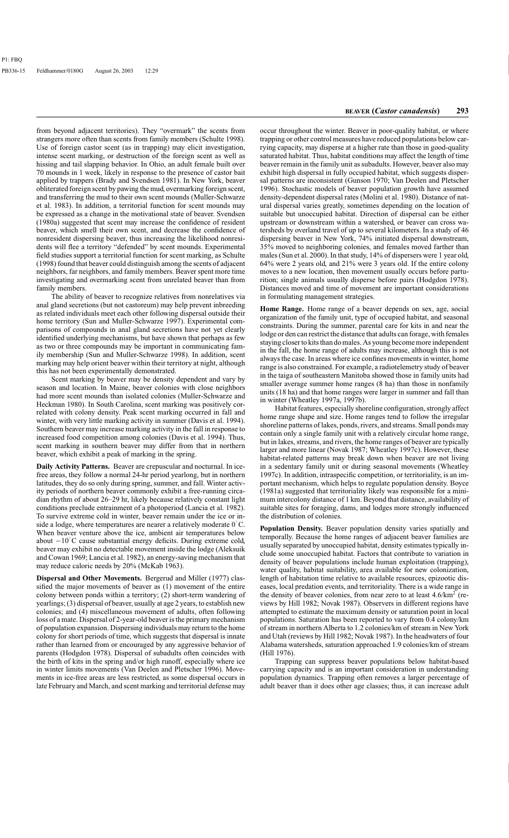from beyond adjacent territories). They "overmark" the scents from strangers more often than scents from family members (Schulte 1998). Use of foreign castor scent (as in trapping) may elicit investigation, intense scent marking, or destruction of the foreign scent as well as hissing and tail slapping behavior. In Ohio, an adult female built over 70 mounds in 1 week, likely in response to the presence of castor bait applied by trappers (Brady and Svendsen 1981). In New York, beaver obliterated foreign scent by pawing the mud, overmarking foreign scent, and transferring the mud to their own scent mounds (Muller-Schwarze et al. 1983). In addition, a territorial function for scent mounds may be expressed as a change in the motivational state of beaver. Svendsen (1980a) suggested that scent may increase the confidence of resident beaver, which smell their own scent, and decrease the confidence of nonresident dispersing beaver, thus increasing the likelihood nonresidents will flee a territory "defended" by scent mounds. Experimental field studies support a territorial function for scent marking, as Schulte (1998) found that beaver could distinguish among the scents of adjacent neighbors, far neighbors, and family members. Beaver spent more time investigating and overmarking scent from unrelated beaver than from family members.

The ability of beaver to recognize relatives from nonrelatives via anal gland secretions (but not castoreum) may help prevent inbreeding as related individuals meet each other following dispersal outside their home territory (Sun and Muller-Schwarze 1997). Experimental comparisons of compounds in anal gland secretions have not yet clearly identified underlying mechanisms, but have shown that perhaps as few as two or three compounds may be important in communicating family membership (Sun and Muller-Schwarze 1998). In addition, scent marking may help orient beaver within their territory at night, although this has not been experimentally demonstrated.

Scent marking by beaver may be density dependent and vary by season and location. In Maine, beaver colonies with close neighbors had more scent mounds than isolated colonies (Muller-Schwarze and Heckman 1980). In South Carolina, scent marking was positively correlated with colony density. Peak scent marking occurred in fall and winter, with very little marking activity in summer (Davis et al. 1994). Southern beaver may increase marking activity in the fall in response to increased food competition among colonies (Davis et al. 1994). Thus, scent marking in southern beaver may differ from that in northern beaver, which exhibit a peak of marking in the spring.

**Daily Activity Patterns.** Beaver are crepuscular and nocturnal. In icefree areas, they follow a normal 24-hr period yearlong, but in northern latitudes, they do so only during spring, summer, and fall. Winter activity periods of northern beaver commonly exhibit a free-running circadian rhythm of about 26–29 hr, likely because relatively constant light conditions preclude entrainment of a photoperiod (Lancia et al. 1982). To survive extreme cold in winter, beaver remain under the ice or inside a lodge, where temperatures are nearer a relatively moderate  $0°C$ . When beaver venture above the ice, ambient air temperatures below about  $-10\degree$ C cause substantial energy deficits. During extreme cold, beaver may exhibit no detectable movement inside the lodge (Aleksuik and Cowan 1969; Lancia et al. 1982), an energy-saving mechanism that may reduce caloric needs by 20% (McKab 1963).

**Dispersal and Other Movements.** Bergerud and Miller (1977) classified the major movements of beaver as (1) movement of the entire colony between ponds within a territory; (2) short-term wandering of yearlings; (3) dispersal of beaver, usually at age 2 years, to establish new colonies; and (4) miscellaneous movement of adults, often following loss of a mate. Dispersal of 2-year-old beaver is the primary mechanism of population expansion. Dispersing individuals may return to the home colony for short periods of time, which suggests that dispersal is innate rather than learned from or encouraged by any aggressive behavior of parents (Hodgdon 1978). Dispersal of subadults often coincides with the birth of kits in the spring and/or high runoff, especially where ice in winter limits movements (Van Deelen and Pletscher 1996). Movements in ice-free areas are less restricted, as some dispersal occurs in late February and March, and scent marking and territorial defense may

occur throughout the winter. Beaver in poor-quality habitat, or where trapping or other control measures have reduced populations below carrying capacity, may disperse at a higher rate than those in good-quality saturated habitat. Thus, habitat conditions may affect the length of time beaver remain in the family unit as subadults. However, beaver also may exhibit high dispersal in fully occupied habitat, which suggests dispersal patterns are inconsistent (Gunson 1970; Van Deelen and Pletscher 1996). Stochastic models of beaver population growth have assumed density-dependent dispersal rates (Molini et al. 1980). Distance of natural dispersal varies greatly, sometimes depending on the location of suitable but unoccupied habitat. Direction of dispersal can be either upstream or downstream within a watershed, or beaver can cross watersheds by overland travel of up to several kilometers. In a study of 46 dispersing beaver in New York, 74% initiated dispersal downstream, 35% moved to neighboring colonies, and females moved farther than males (Sun et al. 2000). In that study, 14% of dispersers were 1 year old, 64% were 2 years old, and 21% were 3 years old. If the entire colony moves to a new location, then movement usually occurs before parturition; single animals usually disperse before pairs (Hodgdon 1978). Distances moved and time of movement are important considerations in formulating management strategies.

**Home Range.** Home range of a beaver depends on sex, age, social organization of the family unit, type of occupied habitat, and seasonal constraints. During the summer, parental care for kits in and near the lodge or den can restrict the distance that adults can forage, with females staying closer to kits than do males. As young become more independent in the fall, the home range of adults may increase, although this is not always the case. In areas where ice confines movements in winter, home range is also constrained. For example, a radiotelemetry study of beaver in the taiga of southeastern Manitoba showed those in family units had smaller average summer home ranges (8 ha) than those in nonfamily units (18 ha) and that home ranges were larger in summer and fall than in winter (Wheatley 1997a, 1997b).

Habitat features, especially shoreline configuration, strongly affect home range shape and size. Home ranges tend to follow the irregular shoreline patterns of lakes, ponds, rivers, and streams. Small ponds may contain only a single family unit with a relatively circular home range, but in lakes, streams, and rivers, the home ranges of beaver are typically larger and more linear (Novak 1987; Wheatley 1997c). However, these habitat-related patterns may break down when beaver are not living in a sedentary family unit or during seasonal movements (Wheatley 1997c). In addition, intraspecific competition, or territoriality, is an important mechanism, which helps to regulate population density. Boyce (1981a) suggested that territoriality likely was responsible for a minimum intercolony distance of 1 km. Beyond that distance, availability of suitable sites for foraging, dams, and lodges more strongly influenced the distribution of colonies.

**Population Density.** Beaver population density varies spatially and temporally. Because the home ranges of adjacent beaver families are usually separated by unoccupied habitat, density estimates typically include some unoccupied habitat. Factors that contribute to variation in density of beaver populations include human exploitation (trapping), water quality, habitat suitability, area available for new colonization, length of habitation time relative to available resources, epizootic diseases, local predation events, and territoriality. There is a wide range in the density of beaver colonies, from near zero to at least  $4.6/km<sup>2</sup>$  (reviews by Hill 1982; Novak 1987). Observers in different regions have attempted to estimate the maximum density or saturation point in local populations. Saturation has been reported to vary from 0.4 colony/km of stream in northern Alberta to 1.2 colonies/km of stream in New York and Utah (reviews by Hill 1982; Novak 1987). In the headwaters of four Alabama watersheds, saturation approached 1.9 colonies/km of stream (Hill 1976).

Trapping can suppress beaver populations below habitat-based carrying capacity and is an important consideration in understanding population dynamics. Trapping often removes a larger percentage of adult beaver than it does other age classes; thus, it can increase adult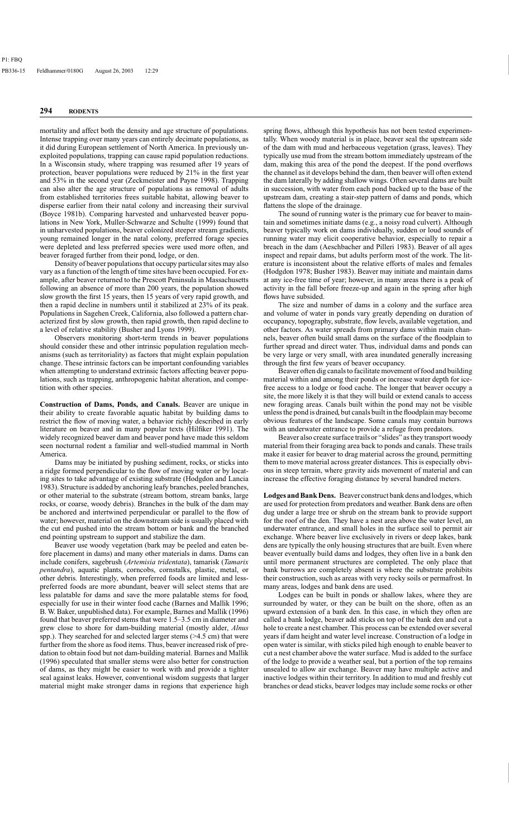mortality and affect both the density and age structure of populations. Intense trapping over many years can entirely decimate populations, as it did during European settlement of North America. In previously unexploited populations, trapping can cause rapid population reductions. In a Wisconsin study, where trapping was resumed after 19 years of protection, beaver populations were reduced by 21% in the first year and 53% in the second year (Zeckmeister and Payne 1998). Trapping can also alter the age structure of populations as removal of adults from established territories frees suitable habitat, allowing beaver to disperse earlier from their natal colony and increasing their survival (Boyce 1981b). Comparing harvested and unharvested beaver populations in New York, Muller-Schwarze and Schulte (1999) found that in unharvested populations, beaver colonized steeper stream gradients, young remained longer in the natal colony, preferred forage species were depleted and less preferred species were used more often, and beaver foraged further from their pond, lodge, or den.

Density of beaver populations that occupy particular sites may also vary as a function of the length of time sites have been occupied. For example, after beaver returned to the Prescott Peninsula in Massachusetts following an absence of more than 200 years, the population showed slow growth the first 15 years, then 15 years of very rapid growth, and then a rapid decline in numbers until it stabilized at 23% of its peak. Populations in Sagehen Creek, California, also followed a pattern characterized first by slow growth, then rapid growth, then rapid decline to a level of relative stability (Busher and Lyons 1999).

Observers monitoring short-term trends in beaver populations should consider these and other intrinsic population regulation mechanisms (such as territoriality) as factors that might explain population change. These intrinsic factors can be important confounding variables when attempting to understand extrinsic factors affecting beaver populations, such as trapping, anthropogenic habitat alteration, and competition with other species.

**Construction of Dams, Ponds, and Canals.** Beaver are unique in their ability to create favorable aquatic habitat by building dams to restrict the flow of moving water, a behavior richly described in early literature on beaver and in many popular texts (Hilfiker 1991). The widely recognized beaver dam and beaver pond have made this seldom seen nocturnal rodent a familiar and well-studied mammal in North America.

Dams may be initiated by pushing sediment, rocks, or sticks into a ridge formed perpendicular to the flow of moving water or by locating sites to take advantage of existing substrate (Hodgdon and Lancia 1983). Structure is added by anchoring leafy branches, peeled branches, or other material to the substrate (stream bottom, stream banks, large rocks, or coarse, woody debris). Branches in the bulk of the dam may be anchored and intertwined perpendicular or parallel to the flow of water; however, material on the downstream side is usually placed with the cut end pushed into the stream bottom or bank and the branched end pointing upstream to support and stabilize the dam.

Beaver use woody vegetation (bark may be peeled and eaten before placement in dams) and many other materials in dams. Dams can include conifers, sagebrush (*Artemisia tridentata*), tamarisk (*Tamarix pentandra*), aquatic plants, corncobs, cornstalks, plastic, metal, or other debris. Interestingly, when preferred foods are limited and lesspreferred foods are more abundant, beaver will select stems that are less palatable for dams and save the more palatable stems for food, especially for use in their winter food cache (Barnes and Mallik 1996; B. W. Baker, unpublished data). For example, Barnes and Mallik (1996) found that beaver preferred stems that were 1.5–3.5 cm in diameter and grew close to shore for dam-building material (mostly alder, *Alnus*  spp.). They searched for and selected larger stems (>4.5 cm) that were further from the shore as food items. Thus, beaver increased risk of predation to obtain food but not dam-building material. Barnes and Mallik (1996) speculated that smaller stems were also better for construction of dams, as they might be easier to work with and provide a tighter seal against leaks. However, conventional wisdom suggests that larger material might make stronger dams in regions that experience high spring flows, although this hypothesis has not been tested experimentally. When woody material is in place, beaver seal the upstream side of the dam with mud and herbaceous vegetation (grass, leaves). They typically use mud from the stream bottom immediately upstream of the dam, making this area of the pond the deepest. If the pond overflows the channel as it develops behind the dam, then beaver will often extend the dam laterally by adding shallow wings. Often several dams are built in succession, with water from each pond backed up to the base of the upstream dam, creating a stair-step pattern of dams and ponds, which flattens the slope of the drainage.

The sound of running water is the primary cue for beaver to maintain and sometimes initiate dams (e.g., a noisy road culvert). Although beaver typically work on dams individually, sudden or loud sounds of running water may elicit cooperative behavior, especially to repair a breach in the dam (Aeschbacher and Pilleri 1983). Beaver of all ages inspect and repair dams, but adults perform most of the work. The literature is inconsistent about the relative efforts of males and females (Hodgdon 1978; Busher 1983). Beaver may initiate and maintain dams at any ice-free time of year; however, in many areas there is a peak of activity in the fall before freeze-up and again in the spring after high flows have subsided.

The size and number of dams in a colony and the surface area and volume of water in ponds vary greatly depending on duration of occupancy, topography, substrate, flow levels, available vegetation, and other factors. As water spreads from primary dams within main channels, beaver often build small dams on the surface of the floodplain to further spread and direct water. Thus, individual dams and ponds can be very large or very small, with area inundated generally increasing through the first few years of beaver occupancy.

Beaver often dig canals to facilitate movement of food and building material within and among their ponds or increase water depth for icefree access to a lodge or food cache. The longer that beaver occupy a site, the more likely it is that they will build or extend canals to access new foraging areas. Canals built within the pond may not be visible unless the pond is drained, but canals built in the floodplain may become obvious features of the landscape. Some canals may contain burrows with an underwater entrance to provide a refuge from predators.

Beaver also create surface trails or "slides" as they transport woody material from their foraging area back to ponds and canals. These trails make it easier for beaver to drag material across the ground, permitting them to move material across greater distances. This is especially obvious in steep terrain, where gravity aids movement of material and can increase the effective foraging distance by several hundred meters.

**Lodges and Bank Dens.** Beaver construct bank dens and lodges, which are used for protection from predators and weather. Bank dens are often dug under a large tree or shrub on the stream bank to provide support for the roof of the den. They have a nest area above the water level, an underwater entrance, and small holes in the surface soil to permit air exchange. Where beaver live exclusively in rivers or deep lakes, bank dens are typically the only housing structures that are built. Even where beaver eventually build dams and lodges, they often live in a bank den until more permanent structures are completed. The only place that bank burrows are completely absent is where the substrate prohibits their construction, such as areas with very rocky soils or permafrost. In many areas, lodges and bank dens are used.

Lodges can be built in ponds or shallow lakes, where they are surrounded by water, or they can be built on the shore, often as an upward extension of a bank den. In this case, in which they often are called a bank lodge, beaver add sticks on top of the bank den and cut a hole to create a nest chamber. This process can be extended over several years if dam height and water level increase. Construction of a lodge in open water is similar, with sticks piled high enough to enable beaver to cut a nest chamber above the water surface. Mud is added to the surface of the lodge to provide a weather seal, but a portion of the top remains unsealed to allow air exchange. Beaver may have multiple active and inactive lodges within their territory. In addition to mud and freshly cut branches or dead sticks, beaver lodges may include some rocks or other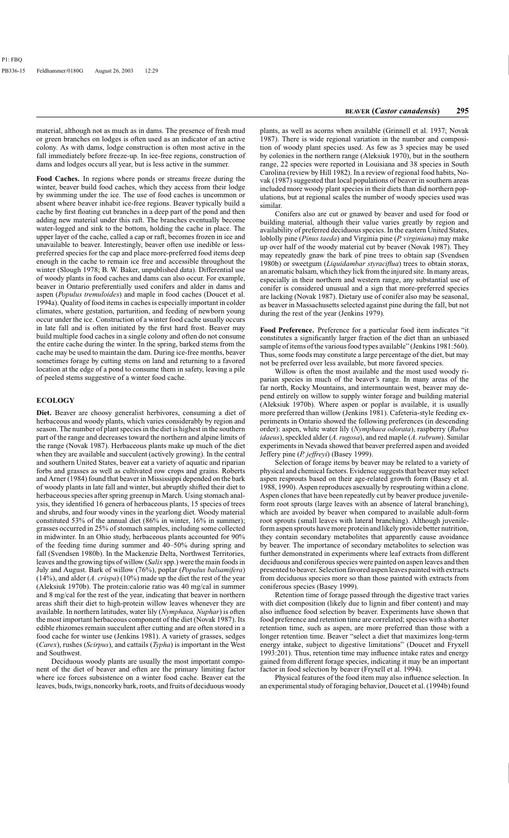**Food Caches.** In regions where ponds or streams freeze during the winter, beaver build food caches, which they access from their lodge by swimming under the ice. The use of food caches is uncommon or absent where beaver inhabit ice-free regions. Beaver typically build a cache by first floating cut branches in a deep part of the pond and then adding new material under this raft. The branches eventually become water-logged and sink to the bottom, holding the cache in place. The upper layer of the cache, called a cap or raft, becomes frozen in ice and unavailable to beaver. Interestingly, beaver often use inedible or lesspreferred species for the cap and place more-preferred food items deep enough in the cache to remain ice free and accessible throughout the winter (Slough 1978; B. W. Baker, unpublished data). Differential use of woody plants in food caches and dams can also occur. For example, beaver in Ontario preferentially used conifers and alder in dams and aspen (*Populus tremuloides*) and maple in food caches (Doucet et al. 1994a). Quality of food items in caches is especially important in colder climates, where gestation, parturition, and feeding of newborn young occur under the ice. Construction of a winter food cache usually occurs in late fall and is often initiated by the first hard frost. Beaver may build multiple food caches in a single colony and often do not consume the entire cache during the winter. In the spring, barked stems from the cache may be used to maintain the dam. During ice-free months, beaver sometimes forage by cutting stems on land and returning to a favored location at the edge of a pond to consume them in safety, leaving a pile of peeled stems suggestive of a winter food cache.

# **ECOLOGY**

**Diet.** Beaver are choosy generalist herbivores, consuming a diet of herbaceous and woody plants, which varies considerably by region and season. The number of plant species in the diet is highest in the southern part of the range and decreases toward the northern and alpine limits of the range (Novak 1987). Herbaceous plants make up much of the diet when they are available and succulent (actively growing). In the central and southern United States, beaver eat a variety of aquatic and riparian forbs and grasses as well as cultivated row crops and grains. Roberts and Arner (1984) found that beaver in Mississippi depended on the bark of woody plants in late fall and winter, but abruptly shifted their diet to herbaceous species after spring greenup in March. Using stomach analysis, they identified 16 genera of herbaceous plants, 15 species of trees and shrubs, and four woody vines in the yearlong diet. Woody material constituted 53% of the annual diet (86% in winter, 16% in summer); grasses occurred in 25% of stomach samples, including some collected in midwinter. In an Ohio study, herbaceous plants accounted for 90% of the feeding time during summer and 40–50% during spring and fall (Svendsen 1980b). In the Mackenzie Delta, Northwest Territories, leaves and the growing tips of willow (*Salix* spp.) were the main foods in July and August. Bark of willow (76%), poplar (*Populus balsamifera*) (14%), and alder (*A. crispa*) (10%) made up the diet the rest of the year (Aleksiuk 1970b). The protein:calorie ratio was 40 mg/cal in summer and 8 mg/cal for the rest of the year, indicating that beaver in northern areas shift their diet to high-protein willow leaves whenever they are available. In northern latitudes, water lily (*Nymphaea, Nuphar*) is often the most important herbaceous component of the diet (Novak 1987). Its edible rhizomes remain succulent after cutting and are often stored in a food cache for winter use (Jenkins 1981). A variety of grasses, sedges (*Carex*), rushes (*Scirpus*), and cattails (*Typha*) is important in the West and Southwest.

Deciduous woody plants are usually the most important component of the diet of beaver and often are the primary limiting factor where ice forces subsistence on a winter food cache. Beaver eat the leaves, buds, twigs, noncorky bark, roots, and fruits of deciduous woody plants, as well as acorns when available (Grinnell et al. 1937; Novak 1987). There is wide regional variation in the number and composition of woody plant species used. As few as 3 species may be used by colonies in the northern range (Aleksiuk 1970), but in the southern range, 22 species were reported in Louisiana and 38 species in South Carolina (review by Hill 1982). In a review of regional food habits, Novak (1987) suggested that local populations of beaver in southern areas included more woody plant species in their diets than did northern populations, but at regional scales the number of woody species used was similar.

Conifers also are cut or gnawed by beaver and used for food or building material, although their value varies greatly by region and availability of preferred deciduous species. In the eastern United States, loblolly pine (*Pinus taeda*) and Virginia pine (*P. virginiana*) may make up over half of the woody material cut by beaver (Novak 1987). They may repeatedly gnaw the bark of pine trees to obtain sap (Svendsen 1980b) or sweetgum (*Liquidambar styraciflua*) trees to obtain storax, an aromatic balsam, which they lick from the injured site. In many areas, especially in their northern and western range, any substantial use of conifer is considered unusual and a sign that more-preferred species are lacking (Novak 1987). Dietary use of conifer also may be seasonal, as beaver in Massachusetts selected against pine during the fall, but not during the rest of the year (Jenkins 1979).

**Food Preference.** Preference for a particular food item indicates "it constitutes a significantly larger fraction of the diet than an unbiased sample of items of the various food types available" (Jenkins 1981:560). Thus, some foods may constitute a large percentage of the diet, but may not be preferred over less available, but more favored species.

Willow is often the most available and the most used woody riparian species in much of the beaver's range. In many areas of the far north, Rocky Mountains, and intermountain west, beaver may depend entirely on willow to supply winter forage and building material (Aleksiuk 1970b). Where aspen or poplar is available, it is usually more preferred than willow (Jenkins 1981). Cafeteria-style feeding experiments in Ontario showed the following preferences (in descending order): aspen, white water lily (*Nymphaea odorata*), raspberry (*Rubus idaeus*), speckled alder (*A. rugosa*), and red maple (*A. rubrum*). Similar experiments in Nevada showed that beaver preferred aspen and avoided Jeffery pine (*P. jeffreyi*) (Basey 1999).

Selection of forage items by beaver may be related to a variety of physical and chemical factors. Evidence suggests that beaver may select aspen resprouts based on their age-related growth form (Basey et al. 1988, 1990). Aspen reproduces asexually by resprouting within a clone. Aspen clones that have been repeatedly cut by beaver produce juvenileform root sprouts (large leaves with an absence of lateral branching), which are avoided by beaver when compared to available adult-form root sprouts (small leaves with lateral branching). Although juvenileform aspen sprouts have more protein and likely provide better nutrition, they contain secondary metabolites that apparently cause avoidance by beaver. The importance of secondary metabolites to selection was further demonstrated in experiments where leaf extracts from different deciduous and coniferous species were painted on aspen leaves and then presented to beaver. Selection favored aspen leaves painted with extracts from deciduous species more so than those painted with extracts from coniferous species (Basey 1999).

Retention time of forage passed through the digestive tract varies with diet composition (likely due to lignin and fiber content) and may also influence food selection by beaver. Experiments have shown that food preference and retention time are correlated; species with a shorter retention time, such as aspen, are more preferred than those with a longer retention time. Beaver "select a diet that maximizes long-term energy intake, subject to digestive limitations" (Doucet and Fryxell 1993:201). Thus, retention time may influence intake rates and energy gained from different forage species, indicating it may be an important factor in food selection by beaver (Fryxell et al. 1994).

Physical features of the food item may also influence selection. In an experimental study of foraging behavior, Doucet et al. (1994b) found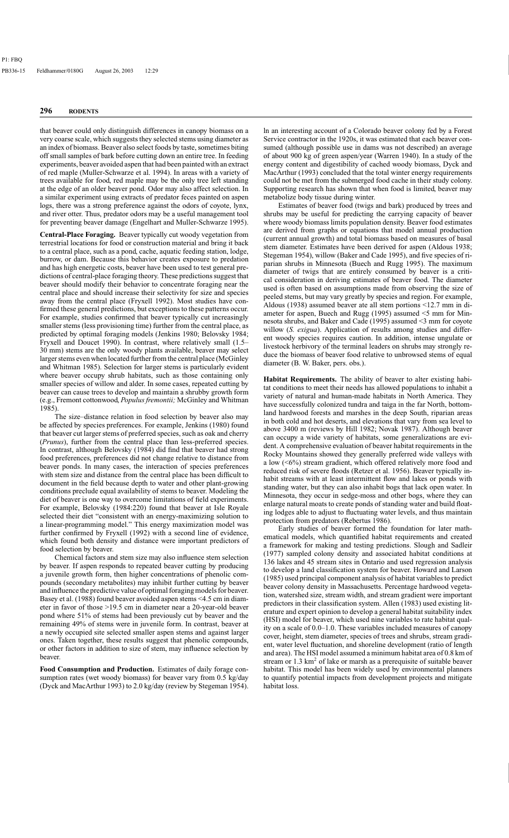that beaver could only distinguish differences in canopy biomass on a very coarse scale, which suggests they selected stems using diameter as an index of biomass. Beaver also select foods by taste, sometimes biting off small samples of bark before cutting down an entire tree. In feeding experiments, beaver avoided aspen that had been painted with an extract of red maple (Muller-Schwarze et al. 1994). In areas with a variety of trees available for food, red maple may be the only tree left standing at the edge of an older beaver pond. Odor may also affect selection. In a similar experiment using extracts of predator feces painted on aspen logs, there was a strong preference against the odors of coyote, lynx, and river otter. Thus, predator odors may be a useful management tool for preventing beaver damage (Engelhart and Muller-Schwarze 1995).

**Central-Place Foraging.** Beaver typically cut woody vegetation from terrestrial locations for food or construction material and bring it back to a central place, such as a pond, cache, aquatic feeding station, lodge, burrow, or dam. Because this behavior creates exposure to predation and has high energetic costs, beaver have been used to test general predictions of central-place foraging theory. These predictions suggest that beaver should modify their behavior to concentrate foraging near the central place and should increase their selectivity for size and species away from the central place (Fryxell 1992). Most studies have confirmed these general predictions, but exceptions to these patterns occur. For example, studies confirmed that beaver typically cut increasingly smaller stems (less provisioning time) further from the central place, as predicted by optimal foraging models (Jenkins 1980; Belovsky 1984; Fryxell and Doucet 1990). In contrast, where relatively small (1.5– 30 mm) stems are the only woody plants available, beaver may select larger stems even when located further from the central place (McGinley and Whitman 1985). Selection for larger stems is particularly evident where beaver occupy shrub habitats, such as those containing only smaller species of willow and alder. In some cases, repeated cutting by beaver can cause trees to develop and maintain a shrubby growth form (e.g., Fremont cottonwood, *Populus fremontii;* McGinley and Whitman 1985).

The size–distance relation in food selection by beaver also may be affected by species preferences. For example, Jenkins (1980) found that beaver cut larger stems of preferred species, such as oak and cherry (*Prunus*), further from the central place than less-preferred species. In contrast, although Belovsky (1984) did find that beaver had strong food preferences, preferences did not change relative to distance from beaver ponds. In many cases, the interaction of species preferences with stem size and distance from the central place has been difficult to document in the field because depth to water and other plant-growing conditions preclude equal availability of stems to beaver. Modeling the diet of beaver is one way to overcome limitations of field experiments. For example, Belovsky (1984:220) found that beaver at Isle Royale selected their diet "consistent with an energy-maximizing solution to a linear-programming model." This energy maximization model was further confirmed by Fryxell (1992) with a second line of evidence, which found both density and distance were important predictors of food selection by beaver.

Chemical factors and stem size may also influence stem selection by beaver. If aspen responds to repeated beaver cutting by producing a juvenile growth form, then higher concentrations of phenolic compounds (secondary metabolites) may inhibit further cutting by beaver and influence the predictive value of optimal foraging models for beaver. Basey et al. (1988) found beaver avoided aspen stems <4.5 cm in diameter in favor of those >19.5 cm in diameter near a 20-year-old beaver pond where 51% of stems had been previously cut by beaver and the remaining 49% of stems were in juvenile form. In contrast, beaver at a newly occupied site selected smaller aspen stems and against larger ones. Taken together, these results suggest that phenolic compounds, or other factors in addition to size of stem, may influence selection by beaver.

**Food Consumption and Production.** Estimates of daily forage consumption rates (wet woody biomass) for beaver vary from 0.5 kg/day (Dyck and MacArthur 1993) to 2.0 kg/day (review by Stegeman 1954). ln an interesting account of a Colorado beaver colony fed by a Forest Service contractor in the 1920s, it was estimated that each beaver consumed (although possible use in dams was not described) an average of about 900 kg of green aspen/year (Warren 1940). In a study of the energy content and digestibility of cached woody biomass, Dyck and MacArthur (1993) concluded that the total winter energy requirements could not be met from the submerged food cache in their study colony. Supporting research has shown that when food is limited, beaver may metabolize body tissue during winter.

Estimates of beaver food (twigs and bark) produced by trees and shrubs may be useful for predicting the carrying capacity of beaver where woody biomass limits population density. Beaver food estimates are derived from graphs or equations that model annual production (current annual growth) and total biomass based on measures of basal stem diameter. Estimates have been derived for aspen (Aldous 1938; Stegeman 1954), willow (Baker and Cade 1995), and five species of riparian shrubs in Minnesota (Buech and Rugg 1995). The maximum diameter of twigs that are entirely consumed by beaver is a critical consideration in deriving estimates of beaver food. The diameter used is often based on assumptions made from observing the size of peeled stems, but may vary greatly by species and region. For example, Aldous (1938) assumed beaver ate all stem portions <12.7 mm in diameter for aspen, Buech and Rugg (1995) assumed <5 mm for Minnesota shrubs, and Baker and Cade (1995) assumed <3 mm for coyote willow (*S. exigua*). Application of results among studies and different woody species requires caution. In addition, intense ungulate or livestock herbivory of the terminal leaders on shrubs may strongly reduce the biomass of beaver food relative to unbrowsed stems of equal diameter (B. W. Baker, pers. obs.).

**Habitat Requirements.** The ability of beaver to alter existing habitat conditions to meet their needs has allowed populations to inhabit a variety of natural and human-made habitats in North America. They have successfully colonized tundra and taiga in the far North, bottomland hardwood forests and marshes in the deep South, riparian areas in both cold and hot deserts, and elevations that vary from sea level to above 3400 m (reviews by Hill 1982; Novak 1987). Although beaver can occupy a wide variety of habitats, some generalizations are evident. A comprehensive evaluation of beaver habitat requirements in the Rocky Mountains showed they generally preferred wide valleys with a low (<6%) stream gradient, which offered relatively more food and reduced risk of severe floods (Retzer et al. 1956). Beaver typically inhabit streams with at least intermittent flow and lakes or ponds with standing water, but they can also inhabit bogs that lack open water. In Minnesota, they occur in sedge-moss and other bogs, where they can enlarge natural moats to create ponds of standing water and build floating lodges able to adjust to fluctuating water levels, and thus maintain protection from predators (Rebertus 1986).

Early studies of beaver formed the foundation for later mathematical models, which quantified habitat requirements and created a framework for making and testing predictions. Slough and Sadleir (1977) sampled colony density and associated habitat conditions at 136 lakes and 45 stream sites in Ontario and used regression analysis to develop a land classification system for beaver. Howard and Larson (1985) used principal component analysis of habitat variables to predict beaver colony density in Massachusetts. Percentage hardwood vegetation, watershed size, stream width, and stream gradient were important predictors in their classification system. Allen (1983) used existing literature and expert opinion to develop a general habitat suitability index (HSI) model for beaver, which used nine variables to rate habitat quality on a scale of 0.0–1.0. These variables included measures of canopy cover, height, stem diameter, species of trees and shrubs, stream gradient, water level fluctuation, and shoreline development (ratio of length and area). The HSI model assumed a minimum habitat area of 0.8 km of stream or  $1.3 \text{ km}^2$  of lake or marsh as a prerequisite of suitable beaver habitat. This model has been widely used by environmental planners to quantify potential impacts from development projects and mitigate habitat loss.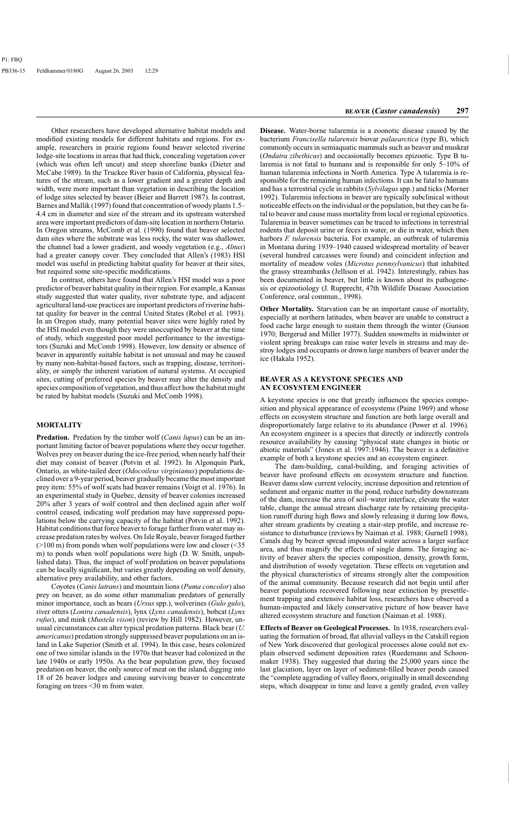Other researchers have developed alternative habitat models and modified existing models for different habitats and regions. For example, researchers in prairie regions found beaver selected riverine lodge-site locations in areas that had thick, concealing vegetation cover (which was often left uncut) and steep shoreline banks (Dieter and McCabe 1989). In the Truckee River basin of California, physical features of the stream, such as a lower gradient and a greater depth and width, were more important than vegetation in describing the location of lodge sites selected by beaver (Beier and Barrett 1987). In contrast, Barnes and Mallik (1997) found that concentration of woody plants 1.5– 4.4 cm in diameter and size of the stream and its upstream watershed area were important predictors of dam-site location in northern Ontario. In Oregon streams, McComb et al. (1990) found that beaver selected dam sites where the substrate was less rocky, the water was shallower, the channel had a lower gradient, and woody vegetation (e.g., *Alnus*) had a greater canopy cover. They concluded that Allen's (1983) HSI model was useful in predicting habitat quality for beaver at their sites, but required some site-specific modifications.

In contrast, others have found that Allen's HSI model was a poor predictor of beaver habitat quality in their region. For example, a Kansas study suggested that water quality, river substrate type, and adjacent agricultural land-use practices are important predictors of riverine habitat quality for beaver in the central United States (Robel et al. 1993). In an Oregon study, many potential beaver sites were highly rated by the HSI model even though they were unoccupied by beaver at the time of study, which suggested poor model performance to the investigators (Suzuki and McComb 1998). However, low density or absence of beaver in apparently suitable habitat is not unusual and may be caused by many non-habitat-based factors, such as trapping, disease, territoriality, or simply the inherent variation of natural systems. At occupied sites, cutting of preferred species by beaver may alter the density and species composition of vegetation, and thus affect how the habitat might be rated by habitat models (Suzuki and McComb 1998).

## **MORTALITY**

**Predation.** Predation by the timber wolf (*Canis lupus*) can be an important limiting factor of beaver populations where they occur together. Wolves prey on beaver during the ice-free period, when nearly half their diet may consist of beaver (Potvin et al. 1992). In Algonquin Park, Ontario, as white-tailed deer (*Odocoileus virginianus*) populations declined over a 9-year period, beaver gradually became the most important prey item: 55% of wolf scats had beaver remains (Voigt et al. 1976). In an experimental study in Quebec, density of beaver colonies increased 20% after 3 years of wolf control and then declined again after wolf control ceased, indicating wolf predation may have suppressed populations below the carrying capacity of the habitat (Potvin et al. 1992). Habitat conditions that force beaver to forage farther from water may increase predation rates by wolves. On Isle Royale, beaver foraged further (>100 m) from ponds when wolf populations were low and closer (<35 m) to ponds when wolf populations were high (D. W. Smith, unpublished data). Thus, the impact of wolf predation on beaver populations can be locally significant, but varies greatly depending on wolf density, alternative prey availability, and other factors.

Coyotes (*Canis latrans*) and mountain lions (*Puma concolor*) also prey on beaver, as do some other mammalian predators of generally minor importance, such as bears (*Ursus* spp.), wolverines (*Gulo gulo*), river otters (*Lontra canadensis*), lynx (*Lynx canadensis*), bobcat (*Lynx rufus*), and mink (*Mustela vison*) (review by Hill 1982). However, unusual circumstances can alter typical predation patterns. Black bear (*U. americanus*) predation strongly suppressed beaver populations on an island in Lake Superior (Smith et al. 1994). In this case, bears colonized one of two similar islands in the 1970s that beaver had colonized in the late 1940s or early 1950s. As the bear population grew, they focused predation on beaver, the only source of meat on the island, digging into 18 of 26 beaver lodges and causing surviving beaver to concentrate foraging on trees <30 m from water.

**Disease.** Water-borne tularemia is a zoonotic disease caused by the bacterium *Francisella tularensis* biovar *palaearctica* (type B), which commonly occurs in semiaquatic mammals such as beaver and muskrat (*Ondatra zibethicus*) and occasionally becomes epizootic. Type B tularemia is not fatal to humans and is responsible for only 5–10% of human tularemia infections in North America. Type A tularemia is responsible for the remaining human infections. It can be fatal to humans and has a terrestrial cycle in rabbits (*Sylvilagus* spp.) and ticks (Morner 1992). Tularemia infections in beaver are typically subclinical without noticeable effects on the individual or the population, but they can be fatal to beaver and cause mass mortality from local or regional epizootics. Tularemia in beaver sometimes can be traced to infections in terrestrial rodents that deposit urine or feces in water, or die in water, which then harbors *F. tularensis* bacteria. For example, an outbreak of tularemia in Montana during 1939–1940 caused widespread mortality of beaver (several hundred carcasses were found) and coincident infection and mortality of meadow voles (*Microtus pennsylvanicus*) that inhabited the grassy streambanks (Jellison et al. 1942). Interestingly, rabies has been documented in beaver, but little is known about its pathogenesis or epizootiology (J. Rupprecht, 47th Wildlife Disease Association Conference, oral commun., 1998).

**Other Mortality.** Starvation can be an important cause of mortality, especially at northern latitudes, when beaver are unable to construct a food cache large enough to sustain them through the winter (Gunson 1970; Bergerud and Miller 1977). Sudden snowmelts in midwinter or violent spring breakups can raise water levels in streams and may destroy lodges and occupants or drown large numbers of beaver under the ice (Hakala 1952).

#### **BEAVER AS A KEYSTONE SPECIES AND AN ECOSYSTEM ENGINEER**

A keystone species is one that greatly influences the species composition and physical appearance of ecosystems (Paine 1969) and whose effects on ecosystem structure and function are both large overall and disproportionately large relative to its abundance (Power et al. 1996). An ecosystem engineer is a species that directly or indirectly controls resource availability by causing "physical state changes in biotic or abiotic materials" (Jones et al. 1997:1946). The beaver is a definitive example of both a keystone species and an ecosystem engineer.

The dam-building, canal-building, and foraging activities of beaver have profound effects on ecosystem structure and function. Beaver dams slow current velocity, increase deposition and retention of sediment and organic matter in the pond, reduce turbidity downstream of the dam, increase the area of soil–water interface, elevate the water table, change the annual stream discharge rate by retaining precipitation runoff during high flows and slowly releasing it during low flows, alter stream gradients by creating a stair-step profile, and increase resistance to disturbance (reviews by Naiman et al. 1988; Gurnell 1998). Canals dug by beaver spread impounded water across a larger surface area, and thus magnify the effects of single dams. The foraging activity of beaver alters the species composition, density, growth form, and distribution of woody vegetation. These effects on vegetation and the physical characteristics of streams strongly alter the composition of the animal community. Because research did not begin until after beaver populations recovered following near extinction by presettlement trapping and extensive habitat loss, researchers have observed a human-impacted and likely conservative picture of how beaver have altered ecosystem structure and function (Naiman et al. 1988).

**Effects of Beaver on Geological Processes.** In 1938, researchers evaluating the formation of broad, flat alluvial valleys in the Catskill region of New York discovered that geological processes alone could not explain observed sediment deposition rates (Ruedemann and Schoonmaker 1938). They suggested that during the 25,000 years since the last glaciation, layer on layer of sediment-filled beaver ponds caused the "complete aggrading of valley floors, originally in small descending steps, which disappear in time and leave a gently graded, even valley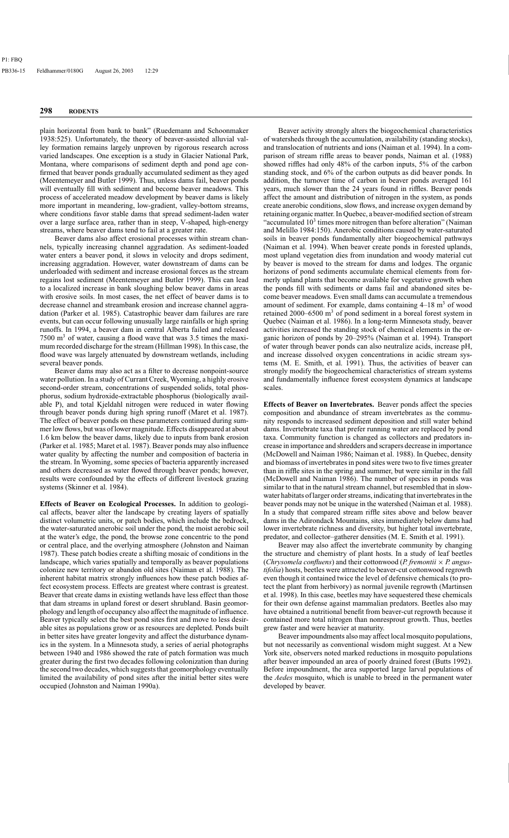plain horizontal from bank to bank" (Ruedemann and Schoonmaker 1938:525). Unfortunately, the theory of beaver-assisted alluvial valley formation remains largely unproven by rigorous research across varied landscapes. One exception is a study in Glacier National Park, Montana, where comparisons of sediment depth and pond age confirmed that beaver ponds gradually accumulated sediment as they aged (Meentemeyer and Butler 1999). Thus, unless dams fail, beaver ponds will eventually fill with sediment and become beaver meadows. This process of accelerated meadow development by beaver dams is likely more important in meandering, low-gradient, valley-bottom streams, where conditions favor stable dams that spread sediment-laden water over a large surface area, rather than in steep, V-shaped, high-energy streams, where beaver dams tend to fail at a greater rate.

Beaver dams also affect erosional processes within stream channels, typically increasing channel aggradation. As sediment-loaded water enters a beaver pond, it slows in velocity and drops sediment, increasing aggradation. However, water downstream of dams can be underloaded with sediment and increase erosional forces as the stream regains lost sediment (Meentemeyer and Butler 1999). This can lead to a localized increase in bank sloughing below beaver dams in areas with erosive soils. In most cases, the net effect of beaver dams is to decrease channel and streambank erosion and increase channel aggradation (Parker et al. 1985). Catastrophic beaver dam failures are rare events, but can occur following unusually large rainfalls or high spring runoffs. In 1994, a beaver dam in central Alberta failed and released  $7500 \text{ m}^3$  of water, causing a flood wave that was 3.5 times the maximum recorded discharge for the stream (Hillman 1998). In this case, the flood wave was largely attenuated by downstream wetlands, including several beaver ponds.

Beaver dams may also act as a filter to decrease nonpoint-source water pollution. In a study of Currant Creek, Wyoming, a highly erosive second-order stream, concentrations of suspended solids, total phosphorus, sodium hydroxide-extractable phosphorus (biologically available P), and total Kjeldahl nitrogen were reduced in water flowing through beaver ponds during high spring runoff (Maret et al. 1987). The effect of beaver ponds on these parameters continued during summer low flows, but was of lower magnitude. Effects disappeared at about 1.6 km below the beaver dams, likely due to inputs from bank erosion (Parker et al. 1985; Maret et al. 1987). Beaver ponds may also influence water quality by affecting the number and composition of bacteria in the stream. In Wyoming, some species of bacteria apparently increased and others decreased as water flowed through beaver ponds; however, results were confounded by the effects of different livestock grazing systems (Skinner et al. 1984).

**Effects of Beaver on Ecological Processes.** In addition to geological affects, beaver alter the landscape by creating layers of spatially distinct volumetric units, or patch bodies, which include the bedrock, the water-saturated anerobic soil under the pond, the moist aerobic soil at the water's edge, the pond, the browse zone concentric to the pond or central place, and the overlying atmosphere (Johnston and Naiman 1987). These patch bodies create a shifting mosaic of conditions in the landscape, which varies spatially and temporally as beaver populations colonize new territory or abandon old sites (Naiman et al. 1988). The inherent habitat matrix strongly influences how these patch bodies affect ecosystem process. Effects are greatest where contrast is greatest. Beaver that create dams in existing wetlands have less effect than those that dam streams in upland forest or desert shrubland. Basin geomorphology and length of occupancy also affect the magnitude of influence. Beaver typically select the best pond sites first and move to less desirable sites as populations grow or as resources are depleted. Ponds built in better sites have greater longevity and affect the disturbance dynamics in the system. In a Minnesota study, a series of aerial photographs between 1940 and 1986 showed the rate of patch formation was much greater during the first two decades following colonization than during the second two decades, which suggests that geomorphology eventually limited the availability of pond sites after the initial better sites were occupied (Johnston and Naiman 1990a).

Beaver activity strongly alters the biogeochemical characteristics of watersheds through the accumulation, availability (standing stocks), and translocation of nutrients and ions (Naiman et al. 1994). In a comparison of stream riffle areas to beaver ponds, Naiman et al. (1988) showed riffles had only 48% of the carbon inputs, 5% of the carbon standing stock, and 6% of the carbon outputs as did beaver ponds. In addition, the turnover time of carbon in beaver ponds averaged 161 years, much slower than the 24 years found in riffles. Beaver ponds affect the amount and distribution of nitrogen in the system, as ponds create anerobic conditions, slow flows, and increase oxygen demand by retaining organic matter. In Quebec, a beaver-modified section of stream "accumulated  $10<sup>3</sup>$  times more nitrogen than before alteration" (Naiman and Melillo 1984:150). Anerobic conditions caused by water-saturated soils in beaver ponds fundamentally alter biogeochemical pathways (Naiman et al. 1994). When beaver create ponds in forested uplands, most upland vegetation dies from inundation and woody material cut by beaver is moved to the stream for dams and lodges. The organic horizons of pond sediments accumulate chemical elements from formerly upland plants that become available for vegetative growth when the ponds fill with sediments or dams fail and abandoned sites become beaver meadows. Even small dams can accumulate a tremendous amount of sediment. For example, dams containing  $4-18$  m<sup>3</sup> of wood retained 2000–6500  $m<sup>3</sup>$  of pond sediment in a boreal forest system in Quebec (Naiman et al. 1986). In a long-term Minnesota study, beaver activities increased the standing stock of chemical elements in the organic horizon of ponds by 20–295% (Naiman et al. 1994). Transport of water through beaver ponds can also neutralize acids, increase pH, and increase dissolved oxygen concentrations in acidic stream systems (M. E. Smith, et al. 1991). Thus, the activities of beaver can strongly modify the biogeochemical characteristics of stream systems and fundamentally influence forest ecosystem dynamics at landscape scales.

**Effects of Beaver on Invertebrates.** Beaver ponds affect the species composition and abundance of stream invertebrates as the community responds to increased sediment deposition and still water behind dams. Invertebrate taxa that prefer running water are replaced by pond taxa. Community function is changed as collectors and predators increase in importance and shredders and scrapers decrease in importance (McDowell and Naiman 1986; Naiman et al. 1988). In Quebec, density and biomass of invertebrates in pond sites were two to five times greater than in riffle sites in the spring and summer, but were similar in the fall (McDowell and Naiman 1986). The number of species in ponds was similar to that in the natural stream channel, but resembled that in slowwater habitats of larger order streams, indicating that invertebrates in the beaver ponds may not be unique in the watershed (Naiman et al. 1988). In a study that compared stream riffle sites above and below beaver dams in the Adirondack Mountains, sites immediately below dams had lower invertebrate richness and diversity, but higher total invertebrate, predator, and collector–gatherer densities (M. E. Smith et al. 1991).

Beaver may also affect the invertebrate community by changing the structure and chemistry of plant hosts. In a study of leaf beetles (*Chrysomela confluens*) and their cottonwood (*P. fremontii* × *P. angustifolia*) hosts, beetles were attracted to beaver-cut cottonwood regrowth even though it contained twice the level of defensive chemicals (to protect the plant from herbivory) as normal juvenile regrowth (Martinsen et al. 1998). In this case, beetles may have sequestered these chemicals for their own defense against mammalian predators. Beetles also may have obtained a nutritional benefit from beaver-cut regrowth because it contained more total nitrogen than nonresprout growth. Thus, beetles grew faster and were heavier at maturity.

Beaver impoundments also may affect local mosquito populations, but not necessarily as conventional wisdom might suggest. At a New York site, observers noted marked reductions in mosquito populations after beaver impounded an area of poorly drained forest (Butts 1992). Before impoundment, the area supported large larval populations of the *Aedes* mosquito, which is unable to breed in the permanent water developed by beaver.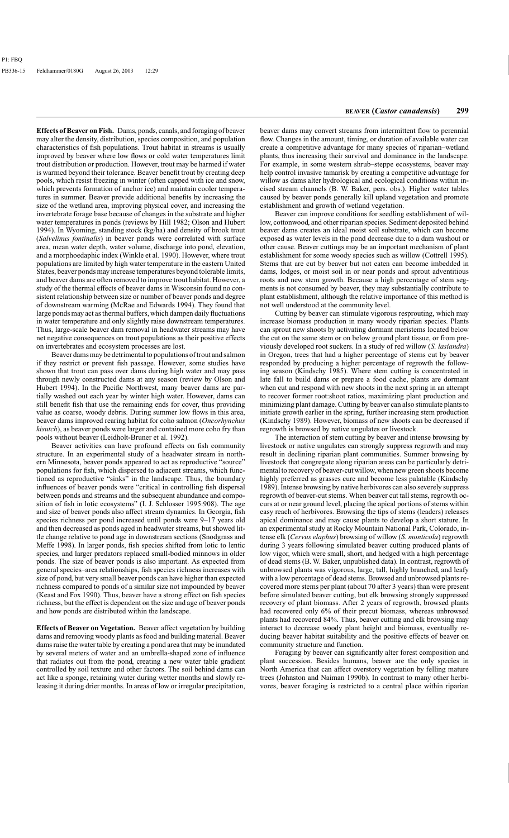**Effects of Beaver on Fish.** Dams, ponds, canals, and foraging of beaver may alter the density, distribution, species composition, and population characteristics of fish populations. Trout habitat in streams is usually improved by beaver where low flows or cold water temperatures limit trout distribution or production. However, trout may be harmed if water is warmed beyond their tolerance. Beaver benefit trout by creating deep pools, which resist freezing in winter (often capped with ice and snow, which prevents formation of anchor ice) and maintain cooler temperatures in summer. Beaver provide additional benefits by increasing the size of the wetland area, improving physical cover, and increasing the invertebrate forage base because of changes in the substrate and higher water temperatures in ponds (reviews by Hill 1982; Olson and Hubert 1994). In Wyoming, standing stock (kg/ha) and density of brook trout (*Salvelinus fontinalis*) in beaver ponds were correlated with surface area, mean water depth, water volume, discharge into pond, elevation, and a morphoedaphic index (Winkle et al. 1990). However, where trout populations are limited by high water temperature in the eastern United States, beaver ponds may increase temperatures beyond tolerable limits, and beaver dams are often removed to improve trout habitat. However, a study of the thermal effects of beaver dams in Wisconsin found no consistent relationship between size or number of beaver ponds and degree of downstream warming (McRae and Edwards 1994). They found that large ponds may act as thermal buffers, which dampen daily fluctuations in water temperature and only slightly raise downstream temperatures. Thus, large-scale beaver dam removal in headwater streams may have net negative consequences on trout populations as their positive effects on invertebrates and ecosystem processes are lost.

Beaver dams may be detrimental to populations of trout and salmon if they restrict or prevent fish passage. However, some studies have shown that trout can pass over dams during high water and may pass through newly constructed dams at any season (review by Olson and Hubert 1994). In the Pacific Northwest, many beaver dams are partially washed out each year by winter high water. However, dams can still benefit fish that use the remaining ends for cover, thus providing value as coarse, woody debris. During summer low flows in this area, beaver dams improved rearing habitat for coho salmon (*Oncorhynchus kisutch*), as beaver ponds were larger and contained more coho fry than pools without beaver (Leidholt-Bruner et al. 1992).

Beaver activities can have profound effects on fish community structure. In an experimental study of a headwater stream in northern Minnesota, beaver ponds appeared to act as reproductive "source" populations for fish, which dispersed to adjacent streams, which functioned as reproductive "sinks" in the landscape. Thus, the boundary influences of beaver ponds were "critical in controlling fish dispersal between ponds and streams and the subsequent abundance and composition of fish in lotic ecosystems" (I. J. Schlosser 1995:908). The age and size of beaver ponds also affect stream dynamics. In Georgia, fish species richness per pond increased until ponds were 9–17 years old and then decreased as ponds aged in headwater streams, but showed little change relative to pond age in downstream sections (Snodgrass and Meffe 1998). In larger ponds, fish species shifted from lotic to lentic species, and larger predators replaced small-bodied minnows in older ponds. The size of beaver ponds is also important. As expected from general species–area relationships, fish species richness increases with size of pond, but very small beaver ponds can have higher than expected richness compared to ponds of a similar size not impounded by beaver (Keast and Fox 1990). Thus, beaver have a strong effect on fish species richness, but the effect is dependent on the size and age of beaver ponds and how ponds are distributed within the landscape.

**Effects of Beaver on Vegetation.** Beaver affect vegetation by building dams and removing woody plants as food and building material. Beaver dams raise the water table by creating a pond area that may be inundated by several meters of water and an umbrella-shaped zone of influence that radiates out from the pond, creating a new water table gradient controlled by soil texture and other factors. The soil behind dams can act like a sponge, retaining water during wetter months and slowly releasing it during drier months. In areas of low or irregular precipitation,

beaver dams may convert streams from intermittent flow to perennial flow. Changes in the amount, timing, or duration of available water can create a competitive advantage for many species of riparian–wetland plants, thus increasing their survival and dominance in the landscape. For example, in some western shrub–steppe ecosystems, beaver may help control invasive tamarisk by creating a competitive advantage for willow as dams alter hydrological and ecological conditions within incised stream channels (B. W. Baker, pers. obs.). Higher water tables caused by beaver ponds generally kill upland vegetation and promote establishment and growth of wetland vegetation.

Beaver can improve conditions for seedling establishment of willow, cottonwood, and other riparian species. Sediment deposited behind beaver dams creates an ideal moist soil substrate, which can become exposed as water levels in the pond decrease due to a dam washout or other cause. Beaver cuttings may be an important mechanism of plant establishment for some woody species such as willow (Cottrell 1995). Stems that are cut by beaver but not eaten can become imbedded in dams, lodges, or moist soil in or near ponds and sprout adventitious roots and new stem growth. Because a high percentage of stem segments is not consumed by beaver, they may substantially contribute to plant establishment, although the relative importance of this method is not well understood at the community level.

Cutting by beaver can stimulate vigorous resprouting, which may increase biomass production in many woody riparian species. Plants can sprout new shoots by activating dormant meristems located below the cut on the same stem or on below ground plant tissue, or from previously developed root suckers. In a study of red willow (*S. lasiandra*) in Oregon, trees that had a higher percentage of stems cut by beaver responded by producing a higher percentage of regrowth the following season (Kindschy 1985). Where stem cutting is concentrated in late fall to build dams or prepare a food cache, plants are dormant when cut and respond with new shoots in the next spring in an attempt to recover former root:shoot ratios, maximizing plant production and minimizing plant damage. Cutting by beaver can also stimulate plants to initiate growth earlier in the spring, further increasing stem production (Kindschy 1989). However, biomass of new shoots can be decreased if regrowth is browsed by native ungulates or livestock.

The interaction of stem cutting by beaver and intense browsing by livestock or native ungulates can strongly suppress regrowth and may result in declining riparian plant communities. Summer browsing by livestock that congregate along riparian areas can be particularly detrimental to recovery of beaver-cut willow, when new green shoots become highly preferred as grasses cure and become less palatable (Kindschy 1989). Intense browsing by native herbivores can also severely suppress regrowth of beaver-cut stems. When beaver cut tall stems, regrowth occurs at or near ground level, placing the apical portions of stems within easy reach of herbivores. Browsing the tips of stems (leaders) releases apical dominance and may cause plants to develop a short stature. In an experimental study at Rocky Mountain National Park, Colorado, intense elk (*Cervus elaphus*) browsing of willow (*S. monticola*) regrowth during 3 years following simulated beaver cutting produced plants of low vigor, which were small, short, and hedged with a high percentage of dead stems (B. W. Baker, unpublished data). In contrast, regrowth of unbrowsed plants was vigorous, large, tall, highly branched, and leafy with a low percentage of dead stems. Browsed and unbrowsed plants recovered more stems per plant (about 70 after 3 years) than were present before simulated beaver cutting, but elk browsing strongly suppressed recovery of plant biomass. After 2 years of regrowth, browsed plants had recovered only 6% of their precut biomass, whereas unbrowsed plants had recovered 84%. Thus, beaver cutting and elk browsing may interact to decrease woody plant height and biomass, eventually reducing beaver habitat suitability and the positive effects of beaver on community structure and function.

Foraging by beaver can significantly alter forest composition and plant succession. Besides humans, beaver are the only species in North America that can affect overstory vegetation by felling mature trees (Johnston and Naiman 1990b). In contrast to many other herbivores, beaver foraging is restricted to a central place within riparian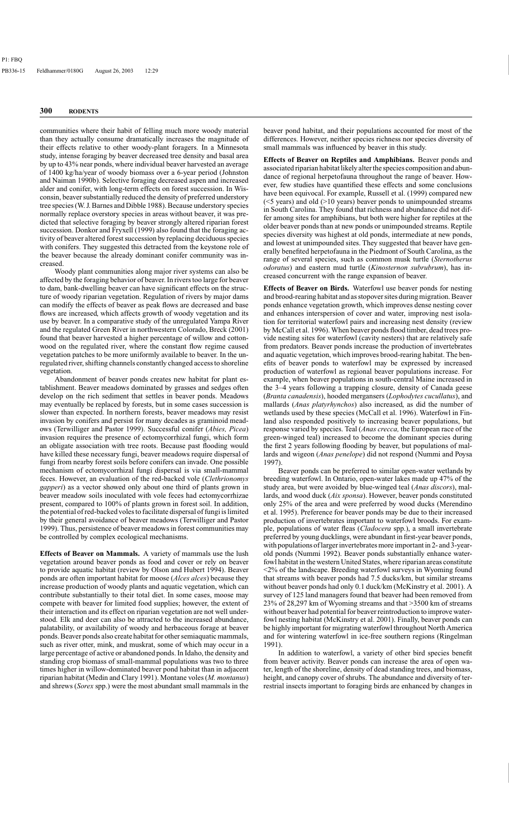communities where their habit of felling much more woody material than they actually consume dramatically increases the magnitude of their effects relative to other woody-plant foragers. In a Minnesota study, intense foraging by beaver decreased tree density and basal area by up to 43% near ponds, where individual beaver harvested an average of 1400 kg/ha/year of woody biomass over a 6-year period (Johnston and Naiman 1990b). Selective foraging decreased aspen and increased alder and conifer, with long-term effects on forest succession. In Wisconsin, beaver substantially reduced the density of preferred understory tree species (W. J. Barnes and Dibble 1988). Because understory species normally replace overstory species in areas without beaver, it was predicted that selective foraging by beaver strongly altered riparian forest succession. Donkor and Fryxell (1999) also found that the foraging activity of beaver altered forest succession by replacing deciduous species with conifers. They suggested this detracted from the keystone role of the beaver because the already dominant conifer community was increased.

Woody plant communities along major river systems can also be affected by the foraging behavior of beaver. In rivers too large for beaver to dam, bank-dwelling beaver can have significant effects on the structure of woody riparian vegetation. Regulation of rivers by major dams can modify the effects of beaver as peak flows are decreased and base flows are increased, which affects growth of woody vegetation and its use by beaver. In a comparative study of the unregulated Yampa River and the regulated Green River in northwestern Colorado, Breck (2001) found that beaver harvested a higher percentage of willow and cottonwood on the regulated river, where the constant flow regime caused vegetation patches to be more uniformly available to beaver. In the unregulated river, shifting channels constantly changed access to shoreline vegetation.

Abandonment of beaver ponds creates new habitat for plant establishment. Beaver meadows dominated by grasses and sedges often develop on the rich sediment that settles in beaver ponds. Meadows may eventually be replaced by forests, but in some cases succession is slower than expected. In northern forests, beaver meadows may resist invasion by conifers and persist for many decades as graminoid meadows (Terwilliger and Pastor 1999). Successful conifer (*Abies, Picea*) invasion requires the presence of ectomycorrhizal fungi, which form an obligate association with tree roots. Because past flooding would have killed these necessary fungi, beaver meadows require dispersal of fungi from nearby forest soils before conifers can invade. One possible mechanism of ectomycorrhizal fungi dispersal is via small-mammal feces. However, an evaluation of the red-backed vole (*Clethrionomys gapperi*) as a vector showed only about one third of plants grown in beaver meadow soils inoculated with vole feces had ectomycorrhizae present, compared to 100% of plants grown in forest soil. In addition, the potential of red-backed voles to facilitate dispersal of fungi is limited by their general avoidance of beaver meadows (Terwilliger and Pastor 1999). Thus, persistence of beaver meadows in forest communities may be controlled by complex ecological mechanisms.

**Effects of Beaver on Mammals.** A variety of mammals use the lush vegetation around beaver ponds as food and cover or rely on beaver to provide aquatic habitat (review by Olson and Hubert 1994). Beaver ponds are often important habitat for moose (*Alces alces*) because they increase production of woody plants and aquatic vegetation, which can contribute substantially to their total diet. In some cases, moose may compete with beaver for limited food supplies; however, the extent of their interaction and its effect on riparian vegetation are not well understood. Elk and deer can also be attracted to the increased abundance, palatability, or availability of woody and herbaceous forage at beaver ponds. Beaver ponds also create habitat for other semiaquatic mammals, such as river otter, mink, and muskrat, some of which may occur in a large percentage of active or abandoned ponds. In Idaho, the density and standing crop biomass of small-mammal populations was two to three times higher in willow-dominated beaver pond habitat than in adjacent riparian habitat (Medin and Clary 1991). Montane voles (*M. montanus*) and shrews (*Sorex* spp.) were the most abundant small mammals in the beaver pond habitat, and their populations accounted for most of the differences. However, neither species richness nor species diversity of small mammals was influenced by beaver in this study.

**Effects of Beaver on Reptiles and Amphibians.** Beaver ponds and associated riparian habitat likely alter the species composition and abundance of regional herpetofauna throughout the range of beaver. However, few studies have quantified these effects and some conclusions have been equivocal. For example, Russell et al. (1999) compared new  $(\leq 5$  years) and old  $(\geq 10)$  years) beaver ponds to unimpounded streams in South Carolina. They found that richness and abundance did not differ among sites for amphibians, but both were higher for reptiles at the older beaver ponds than at new ponds or unimpounded streams. Reptile species diversity was highest at old ponds, intermediate at new ponds, and lowest at unimpounded sites. They suggested that beaver have generally benefited herpetofauna in the Piedmont of South Carolina, as the range of several species, such as common musk turtle (*Sternotherus odoratus*) and eastern mud turtle (*Kinosternon subrubrum*), has increased concurrent with the range expansion of beaver.

**Effects of Beaver on Birds.** Waterfowl use beaver ponds for nesting and brood-rearing habitat and as stopover sites during migration. Beaver ponds enhance vegetation growth, which improves dense nesting cover and enhances interspersion of cover and water, improving nest isolation for territorial waterfowl pairs and increasing nest density (review by McCall et al. 1996). When beaver ponds flood timber, dead trees provide nesting sites for waterfowl (cavity nesters) that are relatively safe from predators. Beaver ponds increase the production of invertebrates and aquatic vegetation, which improves brood-rearing habitat. The benefits of beaver ponds to waterfowl may be expressed by increased production of waterfowl as regional beaver populations increase. For example, when beaver populations in south-central Maine increased in the 3–4 years following a trapping closure, density of Canada geese (*Branta canadensis*), hooded mergansers (*Lophodytes cucullatus*), and mallards (*Anas platyrhynchos*) also increased, as did the number of wetlands used by these species (McCall et al. 1996). Waterfowl in Finland also responded positively to increasing beaver populations, but response varied by species. Teal (*Anas crecca,* the European race of the green-winged teal) increased to become the dominant species during the first 2 years following flooding by beaver, but populations of mallards and wigeon (*Anas penelope*) did not respond (Nummi and Poysa 1997).

Beaver ponds can be preferred to similar open-water wetlands by breeding waterfowl. In Ontario, open-water lakes made up 47% of the study area, but were avoided by blue-winged teal (*Anas discors*), mallards, and wood duck (*Aix sponsa*). However, beaver ponds constituted only 25% of the area and were preferred by wood ducks (Merendino et al. 1995). Preference for beaver ponds may be due to their increased production of invertebrates important to waterfowl broods. For example, populations of water fleas (*Cladocera* spp.), a small invertebrate preferred by young ducklings, were abundant in first-year beaver ponds, with populations of larger invertebrates more important in 2- and 3-yearold ponds (Nummi 1992). Beaver ponds substantially enhance waterfowl habitat in the western United States, where riparian areas constitute <2% of the landscape. Breeding waterfowl surveys in Wyoming found that streams with beaver ponds had 7.5 ducks/km, but similar streams without beaver ponds had only 0.1 duck/km (McKinstry et al. 2001). A survey of 125 land managers found that beaver had been removed from 23% of 28,297 km of Wyoming streams and that >3500 km of streams without beaver had potential for beaver reintroduction to improve waterfowl nesting habitat (McKinstry et al. 2001). Finally, beaver ponds can be highly important for migrating waterfowl throughout North America and for wintering waterfowl in ice-free southern regions (Ringelman 1991).

In addition to waterfowl, a variety of other bird species benefit from beaver activity. Beaver ponds can increase the area of open water, length of the shoreline, density of dead standing trees, and biomass, height, and canopy cover of shrubs. The abundance and diversity of terrestrial insects important to foraging birds are enhanced by changes in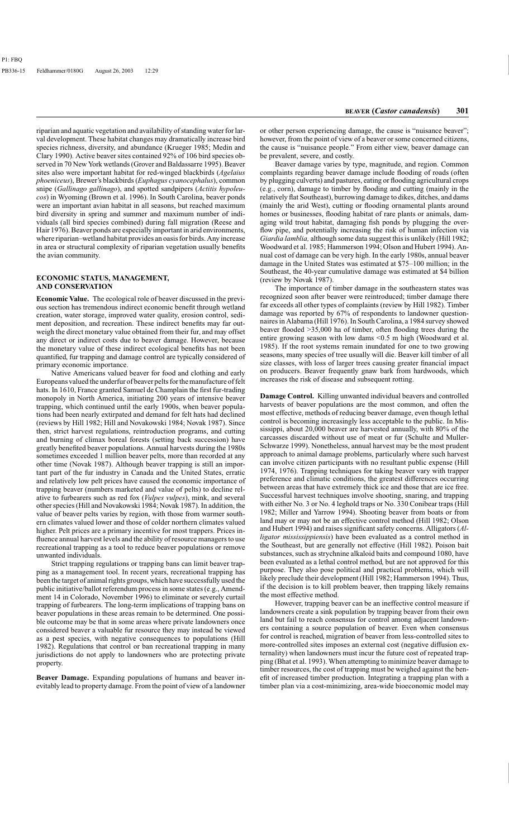riparian and aquatic vegetation and availability of standing water for larval development. These habitat changes may dramatically increase bird species richness, diversity, and abundance (Krueger 1985; Medin and Clary 1990). Active beaver sites contained 92% of 106 bird species observed in 70 New York wetlands (Grover and Baldassarre 1995). Beaver sites also were important habitat for red-winged blackbirds (*Agelaius phoeniceus*), Brewer's blackbirds (*Euphagus cyanocephalus*), common snipe (*Gallinago gallinago*), and spotted sandpipers (*Actitis hypoleucos*) in Wyoming (Brown et al. 1996). In South Carolina, beaver ponds were an important avian habitat in all seasons, but reached maximum bird diversity in spring and summer and maximum number of individuals (all bird species combined) during fall migration (Reese and Hair 1976). Beaver ponds are especially important in arid environments, where riparian–wetland habitat provides an oasis for birds. Any increase in area or structural complexity of riparian vegetation usually benefits the avian community.

#### **ECONOMIC STATUS, MANAGEMENT, AND CONSERVATION**

**Economic Value.** The ecological role of beaver discussed in the previous section has tremendous indirect economic benefit through wetland creation, water storage, improved water quality, erosion control, sediment deposition, and recreation. These indirect benefits may far outweigh the direct monetary value obtained from their fur, and may offset any direct or indirect costs due to beaver damage. However, because the monetary value of these indirect ecological benefits has not been quantified, fur trapping and damage control are typically considered of primary economic importance.

Native Americans valued beaver for food and clothing and early Europeans valued the underfur of beaver pelts for the manufacture of felt hats. In 1610, France granted Samuel de Champlain the first fur-trading monopoly in North America, initiating 200 years of intensive beaver trapping, which continued until the early 1900s, when beaver populations had been nearly extirpated and demand for felt hats had declined (reviews by Hill 1982; Hill and Novakowski 1984; Novak 1987). Since then, strict harvest regulations, reintroduction programs, and cutting and burning of climax boreal forests (setting back succession) have greatly benefited beaver populations. Annual harvests during the 1980s sometimes exceeded 1 million beaver pelts, more than recorded at any other time (Novak 1987). Although beaver trapping is still an important part of the fur industry in Canada and the United States, erratic and relatively low pelt prices have caused the economic importance of trapping beaver (numbers marketed and value of pelts) to decline relative to furbearers such as red fox (*Vulpes vulpes*), mink, and several other species (Hill and Novakowski 1984; Novak 1987). In addition, the value of beaver pelts varies by region, with those from warmer southern climates valued lower and those of colder northern climates valued higher. Pelt prices are a primary incentive for most trappers. Prices influence annual harvest levels and the ability of resource managers to use recreational trapping as a tool to reduce beaver populations or remove unwanted individuals.

Strict trapping regulations or trapping bans can limit beaver trapping as a management tool. In recent years, recreational trapping has been the target of animal rights groups, which have successfully used the public initiative/ballot referendum process in some states (e.g., Amendment 14 in Colorado, November 1996) to eliminate or severely curtail trapping of furbearers. The long-term implications of trapping bans on beaver populations in these areas remain to be determined. One possible outcome may be that in some areas where private landowners once considered beaver a valuable fur resource they may instead be viewed as a pest species, with negative consequences to populations (Hill 1982). Regulations that control or ban recreational trapping in many jurisdictions do not apply to landowners who are protecting private property.

**Beaver Damage.** Expanding populations of humans and beaver inevitably lead to property damage. From the point of view of a landowner or other person experiencing damage, the cause is "nuisance beaver"; however, from the point of view of a beaver or some concerned citizens, the cause is "nuisance people." From either view, beaver damage can be prevalent, severe, and costly.

Beaver damage varies by type, magnitude, and region. Common complaints regarding beaver damage include flooding of roads (often by plugging culverts) and pastures, eating or flooding agricultural crops (e.g., corn), damage to timber by flooding and cutting (mainly in the relatively flat Southeast), burrowing damage to dikes, ditches, and dams (mainly the arid West), cutting or flooding ornamental plants around homes or businesses, flooding habitat of rare plants or animals, damaging wild trout habitat, damaging fish ponds by plugging the overflow pipe, and potentially increasing the risk of human infection via *Giardia lamblia,* although some data suggest this is unlikely (Hill 1982; Woodward et al. 1985; Hammerson 1994; Olson and Hubert 1994). Annual cost of damage can be very high. In the early 1980s, annual beaver damage in the United States was estimated at \$75–100 million; in the Southeast, the 40-year cumulative damage was estimated at \$4 billion (review by Novak 1987).

The importance of timber damage in the southeastern states was recognized soon after beaver were reintroduced; timber damage there far exceeds all other types of complaints (review by Hill 1982). Timber damage was reported by 67% of respondents to landowner questionnaires in Alabama (Hill 1976). In South Carolina, a 1984 survey showed beaver flooded >35,000 ha of timber, often flooding trees during the entire growing season with low dams <0.5 m high (Woodward et al. 1985). If the root systems remain inundated for one to two growing seasons, many species of tree usually will die. Beaver kill timber of all size classes, with loss of larger trees causing greater financial impact on producers. Beaver frequently gnaw bark from hardwoods, which increases the risk of disease and subsequent rotting.

**Damage Control.** Killing unwanted individual beavers and controlled harvests of beaver populations are the most common, and often the most effective, methods of reducing beaver damage, even though lethal control is becoming increasingly less acceptable to the public. In Mississippi, about 20,000 beaver are harvested annually, with 80% of the carcasses discarded without use of meat or fur (Schulte and Muller-Schwarze 1999). Nonetheless, annual harvest may be the most prudent approach to animal damage problems, particularly where such harvest can involve citizen participants with no resultant public expense (Hill 1974, 1976). Trapping techniques for taking beaver vary with trapper preference and climatic conditions, the greatest differences occurring between areas that have extremely thick ice and those that are ice free. Successful harvest techniques involve shooting, snaring, and trapping with either No. 3 or No. 4 leghold traps or No. 330 Conibear traps (Hill 1982; Miller and Yarrow 1994). Shooting beaver from boats or from land may or may not be an effective control method (Hill 1982; Olson and Hubert 1994) and raises significant safety concerns. Alligators (*Alligator mississippiensis*) have been evaluated as a control method in the Southeast, but are generally not effective (Hill 1982). Poison bait substances, such as strychnine alkaloid baits and compound 1080, have been evaluated as a lethal control method, but are not approved for this purpose. They also pose political and practical problems, which will likely preclude their development (Hill 1982; Hammerson 1994). Thus, if the decision is to kill problem beaver, then trapping likely remains the most effective method.

However, trapping beaver can be an ineffective control measure if landowners create a sink population by trapping beaver from their own land but fail to reach consensus for control among adjacent landowners containing a source population of beaver. Even when consensus for control is reached, migration of beaver from less-controlled sites to more-controlled sites imposes an external cost (negative diffusion externality) when landowners must incur the future cost of repeated trapping (Bhat et al. 1993). When attempting to minimize beaver damage to timber resources, the cost of trapping must be weighed against the benefit of increased timber production. Integrating a trapping plan with a timber plan via a cost-minimizing, area-wide bioeconomic model may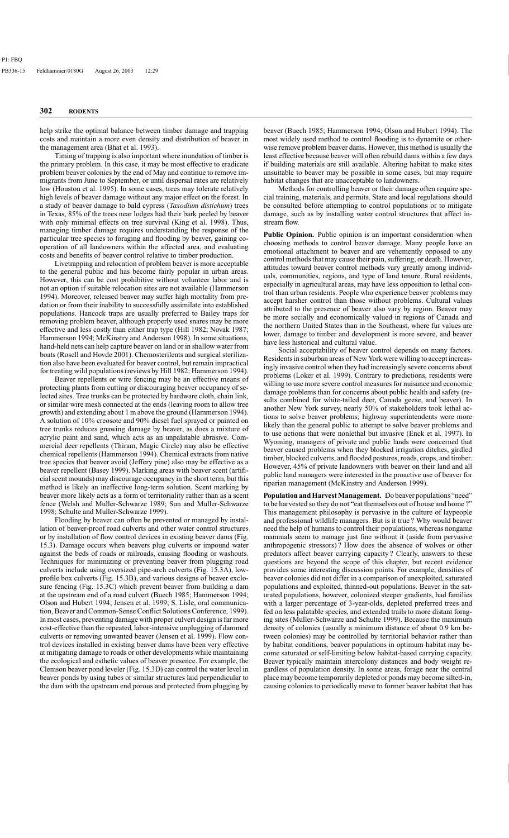help strike the optimal balance between timber damage and trapping costs and maintain a more even density and distribution of beaver in the management area (Bhat et al. 1993).

Timing of trapping is also important where inundation of timber is the primary problem. In this case, it may be most effective to eradicate problem beaver colonies by the end of May and continue to remove immigrants from June to September, or until dispersal rates are relatively low (Houston et al. 1995). In some cases, trees may tolerate relatively high levels of beaver damage without any major effect on the forest. In a study of beaver damage to bald cypress (*Taxodium distichum*) trees in Texas, 85% of the trees near lodges had their bark peeled by beaver with only minimal effects on tree survival (King et al. 1998). Thus, managing timber damage requires understanding the response of the particular tree species to foraging and flooding by beaver, gaining cooperation of all landowners within the affected area, and evaluating costs and benefits of beaver control relative to timber production.

Livetrapping and relocation of problem beaver is more acceptable to the general public and has become fairly popular in urban areas. However, this can be cost prohibitive without volunteer labor and is not an option if suitable relocation sites are not available (Hammerson 1994). Moreover, released beaver may suffer high mortality from predation or from their inability to successfully assimilate into established populations. Hancock traps are usually preferred to Bailey traps for removing problem beaver, although properly used snares may be more effective and less costly than either trap type (Hill 1982; Novak 1987; Hammerson 1994; McKinstry and Anderson 1998). In some situations, hand-held nets can help capture beaver on land or in shallow water from boats (Rosell and Hovde 2001). Chemosterilents and surgical sterilization also have been evaluated for beaver control, but remain impractical for treating wild populations (reviews by Hill 1982; Hammerson 1994).

Beaver repellents or wire fencing may be an effective means of protecting plants from cutting or discouraging beaver occupancy of selected sites. Tree trunks can be protected by hardware cloth, chain link, or similar wire mesh connected at the ends (leaving room to allow tree growth) and extending about 1 m above the ground (Hammerson 1994). A solution of 10% creosote and 90% diesel fuel sprayed or painted on tree trunks reduces gnawing damage by beaver, as does a mixture of acrylic paint and sand, which acts as an unpalatable abrasive. Commercial deer repellents (Thiram, Magic Circle) may also be effective chemical repellents (Hammerson 1994). Chemical extracts from native tree species that beaver avoid (Jeffery pine) also may be effective as a beaver repellent (Basey 1999). Marking areas with beaver scent (artificial scent mounds) may discourage occupancy in the short term, but this method is likely an ineffective long-term solution. Scent marking by beaver more likely acts as a form of territoriality rather than as a scent fence (Welsh and Muller-Schwarze 1989; Sun and Muller-Schwarze 1998; Schulte and Muller-Schwarze 1999).

Flooding by beaver can often be prevented or managed by installation of beaver-proof road culverts and other water control structures or by installation of flow control devices in existing beaver dams (Fig. 15.3). Damage occurs when beavers plug culverts or impound water against the beds of roads or railroads, causing flooding or washouts. Techniques for minimizing or preventing beaver from plugging road culverts include using oversized pipe-arch culverts (Fig. 15.3A), lowprofile box culverts (Fig. 15.3B), and various designs of beaver exclosure fencing (Fig. 15.3C) which prevent beaver from building a dam at the upstream end of a road culvert (Buech 1985; Hammerson 1994; Olson and Hubert 1994; Jensen et al. 1999; S. Lisle, oral communication, Beaver and Common-Sense Conflict Solutions Conference, 1999). In most cases, preventing damage with proper culvert design is far more cost-effective than the repeated, labor-intensive unplugging of dammed culverts or removing unwanted beaver (Jensen et al. 1999). Flow control devices installed in existing beaver dams have been very effective at mitigating damage to roads or other developments while maintaining the ecological and esthetic values of beaver presence. For example, the Clemson beaver pond leveler (Fig. 15.3D) can control the water level in beaver ponds by using tubes or similar structures laid perpendicular to the dam with the upstream end porous and protected from plugging by

beaver (Buech 1985; Hammerson 1994; Olson and Hubert 1994). The most widely used method to control flooding is to dynamite or otherwise remove problem beaver dams. However, this method is usually the least effective because beaver will often rebuild dams within a few days if building materials are still available. Altering habitat to make sites unsuitable to beaver may be possible in some cases, but may require habitat changes that are unacceptable to landowners.

Methods for controlling beaver or their damage often require special training, materials, and permits. State and local regulations should be consulted before attempting to control populations or to mitigate damage, such as by installing water control structures that affect instream flow.

Public Opinion. Public opinion is an important consideration when choosing methods to control beaver damage. Many people have an emotional attachment to beaver and are vehemently opposed to any control methods that may cause their pain, suffering, or death. However, attitudes toward beaver control methods vary greatly among individuals, communities, regions, and type of land tenure. Rural residents, especially in agricultural areas, may have less opposition to lethal control than urban residents. People who experience beaver problems may accept harsher control than those without problems. Cultural values attributed to the presence of beaver also vary by region. Beaver may be more socially and economically valued in regions of Canada and the northern United States than in the Southeast, where fur values are lower, damage to timber and development is more severe, and beaver have less historical and cultural value.

Social acceptability of beaver control depends on many factors. Residents in suburban areas of New York were willing to accept increasingly invasive control when they had increasingly severe concerns about problems (Loker et al. 1999). Contrary to predictions, residents were willing to use more severe control measures for nuisance and economic damage problems than for concerns about public health and safety (results combined for white-tailed deer, Canada geese, and beaver). In another New York survey, nearly 50% of stakeholders took lethal actions to solve beaver problems; highway superintendents were more likely than the general public to attempt to solve beaver problems and to use actions that were nonlethal but invasive (Enck et al. 1997). In Wyoming, managers of private and public lands were concerned that beaver caused problems when they blocked irrigation ditches, girdled timber, blocked culverts, and flooded pastures, roads, crops, and timber. However, 45% of private landowners with beaver on their land and all public land managers were interested in the proactive use of beaver for riparian management (McKinstry and Anderson 1999).

**Population and Harvest Management.** Do beaver populations "need" to be harvested so they do not "eat themselves out of house and home ?" This management philosophy is pervasive in the culture of laypeople and professional wildlife managers. But is it true ? Why would beaver need the help of humans to control their populations, whereas nongame mammals seem to manage just fine without it (aside from pervasive anthropogenic stressors) ? How does the absence of wolves or other predators affect beaver carrying capacity ? Clearly, answers to these questions are beyond the scope of this chapter, but recent evidence provides some interesting discussion points. For example, densities of beaver colonies did not differ in a comparison of unexploited, saturated populations and exploited, thinned-out populations. Beaver in the saturated populations, however, colonized steeper gradients, had families with a larger percentage of 3-year-olds, depleted preferred trees and fed on less palatable species, and extended trails to more distant foraging sites (Muller-Schwarze and Schulte 1999). Because the maximum density of colonies (usually a minimum distance of about 0.9 km between colonies) may be controlled by territorial behavior rather than by habitat conditions, beaver populations in optimum habitat may become saturated or self-limiting below habitat-based carrying capacity. Beaver typically maintain intercolony distances and body weight regardless of population density. In some areas, forage near the central place may become temporarily depleted or ponds may become silted-in, causing colonies to periodically move to former beaver habitat that has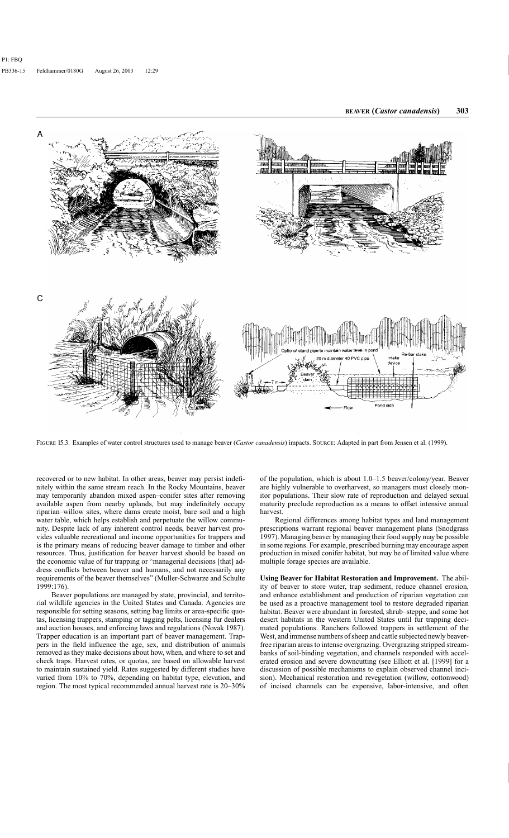

FIGURE 15.3. Examples of water control structures used to manage beaver (*Castor canadensis*) impacts. SOURCE: Adapted in part from Jensen et al. (1999).

recovered or to new habitat. In other areas, beaver may persist indefinitely within the same stream reach. In the Rocky Mountains, beaver may temporarily abandon mixed aspen–conifer sites after removing available aspen from nearby uplands, but may indefinitely occupy riparian–willow sites, where dams create moist, bare soil and a high water table, which helps establish and perpetuate the willow community. Despite lack of any inherent control needs, beaver harvest provides valuable recreational and income opportunities for trappers and is the primary means of reducing beaver damage to timber and other resources. Thus, justification for beaver harvest should be based on the economic value of fur trapping or "managerial decisions [that] address conflicts between beaver and humans, and not necessarily any requirements of the beaver themselves" (Muller-Schwarze and Schulte 1999:176).

Beaver populations are managed by state, provincial, and territorial wildlife agencies in the United States and Canada. Agencies are responsible for setting seasons, setting bag limits or area-specific quotas, licensing trappers, stamping or tagging pelts, licensing fur dealers and auction houses, and enforcing laws and regulations (Novak 1987). Trapper education is an important part of beaver management. Trappers in the field influence the age, sex, and distribution of animals removed as they make decisions about how, when, and where to set and check traps. Harvest rates, or quotas, are based on allowable harvest to maintain sustained yield. Rates suggested by different studies have varied from 10% to 70%, depending on habitat type, elevation, and region. The most typical recommended annual harvest rate is 20–30% of the population, which is about 1.0–1.5 beaver/colony/year. Beaver are highly vulnerable to overharvest, so managers must closely monitor populations. Their slow rate of reproduction and delayed sexual maturity preclude reproduction as a means to offset intensive annual harvest.

Regional differences among habitat types and land management prescriptions warrant regional beaver management plans (Snodgrass 1997). Managing beaver by managing their food supply may be possible in some regions. For example, prescribed burning may encourage aspen production in mixed conifer habitat, but may be of limited value where multiple forage species are available.

**Using Beaver for Habitat Restoration and Improvement.** The ability of beaver to store water, trap sediment, reduce channel erosion, and enhance establishment and production of riparian vegetation can be used as a proactive management tool to restore degraded riparian habitat. Beaver were abundant in forested, shrub–steppe, and some hot desert habitats in the western United States until fur trapping decimated populations. Ranchers followed trappers in settlement of the West, and immense numbers of sheep and cattle subjected newly beaverfree riparian areas to intense overgrazing. Overgrazing stripped streambanks of soil-binding vegetation, and channels responded with accelerated erosion and severe downcutting (see Elliott et al. [1999] for a discussion of possible mechanisms to explain observed channel incision). Mechanical restoration and revegetation (willow, cottonwood) of incised channels can be expensive, labor-intensive, and often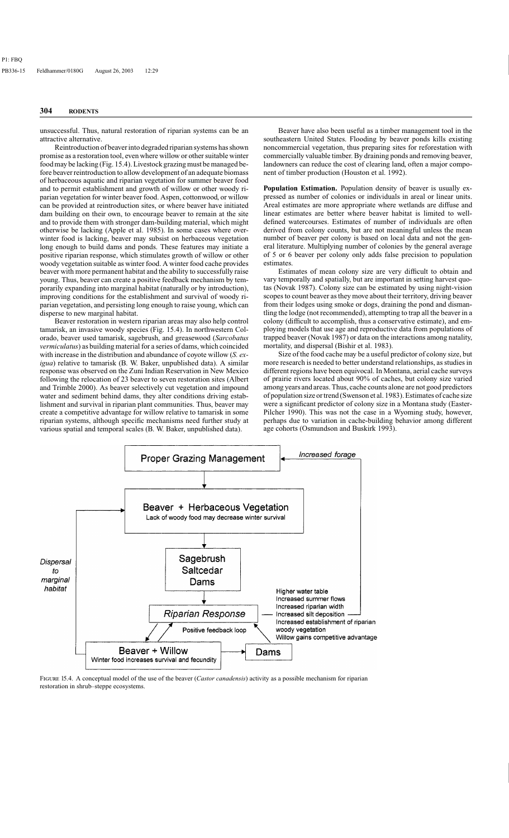unsuccessful. Thus, natural restoration of riparian systems can be an attractive alternative.

Reintroduction of beaver into degraded riparian systems has shown promise as a restoration tool, even where willow or other suitable winter food may be lacking (Fig. 15.4). Livestock grazing must be managed before beaver reintroduction to allow development of an adequate biomass of herbaceous aquatic and riparian vegetation for summer beaver food and to permit establishment and growth of willow or other woody riparian vegetation for winter beaver food. Aspen, cottonwood, or willow can be provided at reintroduction sites, or where beaver have initiated dam building on their own, to encourage beaver to remain at the site and to provide them with stronger dam-building material, which might otherwise be lacking (Apple et al. 1985). In some cases where overwinter food is lacking, beaver may subsist on herbaceous vegetation long enough to build dams and ponds. These features may initiate a positive riparian response, which stimulates growth of willow or other woody vegetation suitable as winter food. A winter food cache provides beaver with more permanent habitat and the ability to successfully raise young. Thus, beaver can create a positive feedback mechanism by temporarily expanding into marginal habitat (naturally or by introduction), improving conditions for the establishment and survival of woody riparian vegetation, and persisting long enough to raise young, which can disperse to new marginal habitat.

Beaver restoration in western riparian areas may also help control tamarisk, an invasive woody species (Fig. 15.4). In northwestern Colorado, beaver used tamarisk, sagebrush, and greasewood (*Sarcobatus vermiculatus*) as building material for a series of dams, which coincided with increase in the distribution and abundance of coyote willow (*S. exigua*) relative to tamarisk (B. W. Baker, unpublished data). A similar response was observed on the Zuni Indian Reservation in New Mexico following the relocation of 23 beaver to seven restoration sites (Albert and Trimble 2000). As beaver selectively cut vegetation and impound water and sediment behind dams, they alter conditions driving establishment and survival in riparian plant communities. Thus, beaver may create a competitive advantage for willow relative to tamarisk in some riparian systems, although specific mechanisms need further study at various spatial and temporal scales (B. W. Baker, unpublished data).

Beaver have also been useful as a timber management tool in the southeastern United States. Flooding by beaver ponds kills existing noncommercial vegetation, thus preparing sites for reforestation with commercially valuable timber. By draining ponds and removing beaver, landowners can reduce the cost of clearing land, often a major component of timber production (Houston et al. 1992).

**Population Estimation.** Population density of beaver is usually expressed as number of colonies or individuals in areal or linear units. Areal estimates are more appropriate where wetlands are diffuse and linear estimates are better where beaver habitat is limited to welldefined watercourses. Estimates of number of individuals are often derived from colony counts, but are not meaningful unless the mean number of beaver per colony is based on local data and not the general literature. Multiplying number of colonies by the general average of 5 or 6 beaver per colony only adds false precision to population estimates.

Estimates of mean colony size are very difficult to obtain and vary temporally and spatially, but are important in setting harvest quotas (Novak 1987). Colony size can be estimated by using night-vision scopes to count beaver as they move about their territory, driving beaver from their lodges using smoke or dogs, draining the pond and dismantling the lodge (not recommended), attempting to trap all the beaver in a colony (difficult to accomplish, thus a conservative estimate), and employing models that use age and reproductive data from populations of trapped beaver (Novak 1987) or data on the interactions among natality, mortality, and dispersal (Bishir et al. 1983).

Size of the food cache may be a useful predictor of colony size, but more research is needed to better understand relationships, as studies in different regions have been equivocal. In Montana, aerial cache surveys of prairie rivers located about 90% of caches, but colony size varied among years and areas. Thus, cache counts alone are not good predictors of population size or trend (Swenson et al. 1983). Estimates of cache size were a significant predictor of colony size in a Montana study (Easter-Pilcher 1990). This was not the case in a Wyoming study, however, perhaps due to variation in cache-building behavior among different age cohorts (Osmundson and Buskirk 1993).



FIGURE 15.4. A conceptual model of the use of the beaver (*Castor canadensis*) activity as a possible mechanism for riparian restoration in shrub–steppe ecosystems.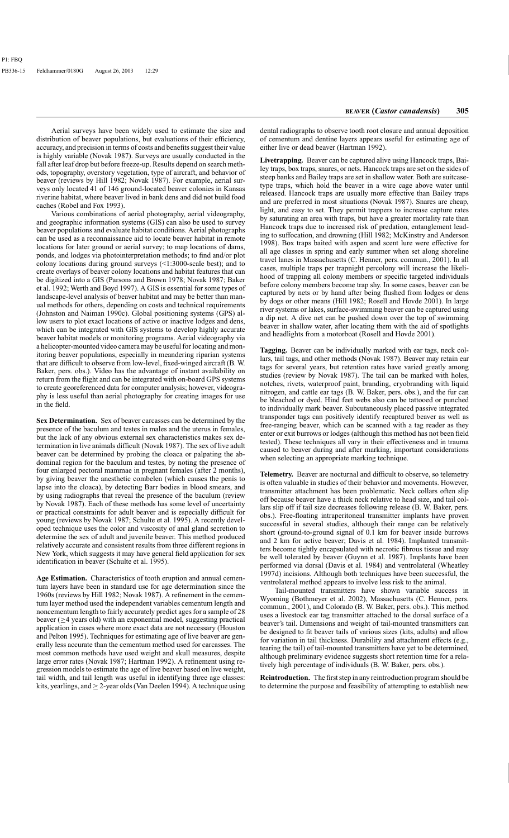Aerial surveys have been widely used to estimate the size and distribution of beaver populations, but evaluations of their efficiency, accuracy, and precision in terms of costs and benefits suggest their value is highly variable (Novak 1987). Surveys are usually conducted in the fall after leaf drop but before freeze-up. Results depend on search methods, topography, overstory vegetation, type of aircraft, and behavior of beaver (reviews by Hill 1982; Novak 1987). For example, aerial surveys only located 41 of 146 ground-located beaver colonies in Kansas riverine habitat, where beaver lived in bank dens and did not build food caches (Robel and Fox 1993).

Various combinations of aerial photography, aerial videography, and geographic information systems (GIS) can also be used to survey beaver populations and evaluate habitat conditions. Aerial photographs can be used as a reconnaissance aid to locate beaver habitat in remote locations for later ground or aerial survey; to map locations of dams, ponds, and lodges via photointerpretation methods; to find and/or plot colony locations during ground surveys (<1:3000-scale best); and to create overlays of beaver colony locations and habitat features that can be digitized into a GIS (Parsons and Brown 1978; Novak 1987; Baker et al. 1992; Werth and Boyd 1997). A GIS is essential for some types of landscape-level analysis of beaver habitat and may be better than manual methods for others, depending on costs and technical requirements (Johnston and Naiman 1990c). Global positioning systems (GPS) allow users to plot exact locations of active or inactive lodges and dens, which can be integrated with GIS systems to develop highly accurate beaver habitat models or monitoring programs. Aerial videography via a helicopter-mounted video camera may be useful for locating and monitoring beaver populations, especially in meandering riparian systems that are difficult to observe from low-level, fixed-winged aircraft (B. W. Baker, pers. obs.). Video has the advantage of instant availability on return from the flight and can be integrated with on-board GPS systems to create georeferenced data for computer analysis; however, videography is less useful than aerial photography for creating images for use in the field.

**Sex Determination.** Sex of beaver carcasses can be determined by the presence of the baculum and testes in males and the uterus in females, but the lack of any obvious external sex characteristics makes sex determination in live animals difficult (Novak 1987). The sex of live adult beaver can be determined by probing the cloaca or palpating the abdominal region for the baculum and testes, by noting the presence of four enlarged pectoral mammae in pregnant females (after 2 months), by giving beaver the anesthetic combelen (which causes the penis to lapse into the cloaca), by detecting Barr bodies in blood smears, and by using radiographs that reveal the presence of the baculum (review by Novak 1987). Each of these methods has some level of uncertainty or practical constraints for adult beaver and is especially difficult for young (reviews by Novak 1987; Schulte et al. 1995). A recently developed technique uses the color and viscosity of anal gland secretion to determine the sex of adult and juvenile beaver. This method produced relatively accurate and consistent results from three different regions in New York, which suggests it may have general field application for sex identification in beaver (Schulte et al. 1995).

**Age Estimation.** Characteristics of tooth eruption and annual cementum layers have been in standard use for age determination since the 1960s (reviews by Hill 1982; Novak 1987). A refinement in the cementum layer method used the independent variables cementum length and noncementum length to fairly accurately predict ages for a sample of 28 beaver ( $\geq$ 4 years old) with an exponential model, suggesting practical application in cases where more exact data are not necessary (Houston and Pelton 1995). Techniques for estimating age of live beaver are generally less accurate than the cementum method used for carcasses. The most common methods have used weight and skull measures, despite large error rates (Novak 1987; Hartman 1992). A refinement using regression models to estimate the age of live beaver based on live weight, tail width, and tail length was useful in identifying three age classes: kits, yearlings, and  $\geq$  2-year olds (Van Deelen 1994). A technique using

dental radiographs to observe tooth root closure and annual deposition of cementum and dentine layers appears useful for estimating age of either live or dead beaver (Hartman 1992).

**Livetrapping.** Beaver can be captured alive using Hancock traps, Bailey traps, box traps, snares, or nets. Hancock traps are set on the sides of steep banks and Bailey traps are set in shallow water. Both are suitcasetype traps, which hold the beaver in a wire cage above water until released. Hancock traps are usually more effective than Bailey traps and are preferred in most situations (Novak 1987). Snares are cheap, light, and easy to set. They permit trappers to increase capture rates by saturating an area with traps, but have a greater mortality rate than Hancock traps due to increased risk of predation, entanglement leading to suffocation, and drowning (Hill 1982; McKinstry and Anderson 1998). Box traps baited with aspen and scent lure were effective for all age classes in spring and early summer when set along shoreline travel lanes in Massachusetts (C. Henner, pers. commun., 2001). In all cases, multiple traps per trapnight percolony will increase the likelihood of trapping all colony members or specific targeted individuals before colony members become trap shy. In some cases, beaver can be captured by nets or by hand after being flushed from lodges or dens by dogs or other means (Hill 1982; Rosell and Hovde 2001). In large river systems or lakes, surface-swimming beaver can be captured using a dip net. A dive net can be pushed down over the top of swimming beaver in shallow water, after locating them with the aid of spotlights and headlights from a motorboat (Rosell and Hovde 2001).

**Tagging.** Beaver can be individually marked with ear tags, neck collars, tail tags, and other methods (Novak 1987). Beaver may retain ear tags for several years, but retention rates have varied greatly among studies (review by Novak 1987). The tail can be marked with holes, notches, rivets, waterproof paint, branding, cryobranding with liquid nitrogen, and cattle ear tags (B. W. Baker, pers. obs.), and the fur can be bleached or dyed. Hind feet webs also can be tattooed or punched to individually mark beaver. Subcutaneously placed passive integrated transponder tags can positively identify recaptured beaver as well as free-ranging beaver, which can be scanned with a tag reader as they enter or exit burrows or lodges (although this method has not been field tested). These techniques all vary in their effectiveness and in trauma caused to beaver during and after marking, important considerations when selecting an appropriate marking technique.

**Telemetry.** Beaver are nocturnal and difficult to observe, so telemetry is often valuable in studies of their behavior and movements. However, transmitter attachment has been problematic. Neck collars often slip off because beaver have a thick neck relative to head size, and tail collars slip off if tail size decreases following release (B. W. Baker, pers. obs.). Free-floating intraperitoneal transmitter implants have proven successful in several studies, although their range can be relatively short (ground-to-ground signal of 0.1 km for beaver inside burrows and 2 km for active beaver; Davis et al. 1984). Implanted transmitters become tightly encapsulated with necrotic fibrous tissue and may be well tolerated by beaver (Guynn et al. 1987). Implants have been performed via dorsal (Davis et al. 1984) and ventrolateral (Wheatley 1997d) incisions. Although both techniques have been successful, the ventrolateral method appears to involve less risk to the animal.

Tail-mounted transmitters have shown variable success in Wyoming (Bothmeyer et al. 2002), Massachusetts (C. Henner, pers. commun., 2001), and Colorado (B. W. Baker, pers. obs.). This method uses a livestock ear tag transmitter attached to the dorsal surface of a beaver's tail. Dimensions and weight of tail-mounted transmitters can be designed to fit beaver tails of various sizes (kits, adults) and allow for variation in tail thickness. Durability and attachment effects (e.g., tearing the tail) of tail-mounted transmitters have yet to be determined, although preliminary evidence suggests short retention time for a relatively high percentage of individuals (B. W. Baker, pers. obs.).

**Reintroduction.** The first step in any reintroduction program should be to determine the purpose and feasibility of attempting to establish new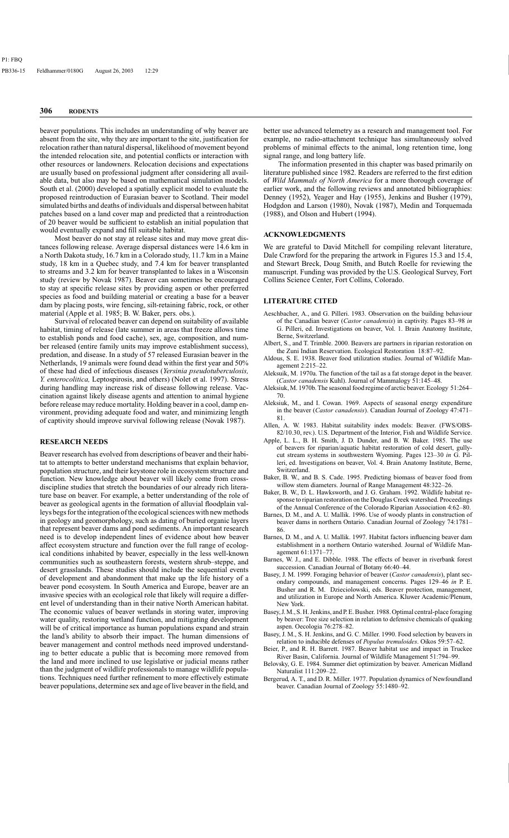beaver populations. This includes an understanding of why beaver are absent from the site, why they are important to the site, justification for relocation rather than natural dispersal, likelihood of movement beyond the intended relocation site, and potential conflicts or interaction with other resources or landowners. Relocation decisions and expectations are usually based on professional judgment after considering all available data, but also may be based on mathematical simulation models. South et al. (2000) developed a spatially explicit model to evaluate the proposed reintroduction of Eurasian beaver to Scotland. Their model simulated births and deaths of individuals and dispersal between habitat patches based on a land cover map and predicted that a reintroduction of 20 beaver would be sufficient to establish an initial population that would eventually expand and fill suitable habitat.

Most beaver do not stay at release sites and may move great distances following release. Average dispersal distances were 14.6 km in a North Dakota study, 16.7 km in a Colorado study, 11.7 km in a Maine study, 18 km in a Quebec study, and 7.4 km for beaver transplanted to streams and 3.2 km for beaver transplanted to lakes in a Wisconsin study (review by Novak 1987). Beaver can sometimes be encouraged to stay at specific release sites by providing aspen or other preferred species as food and building material or creating a base for a beaver dam by placing posts, wire fencing, silt-retaining fabric, rock, or other material (Apple et al. 1985; B. W. Baker, pers. obs.).

Survival of relocated beaver can depend on suitability of available habitat, timing of release (late summer in areas that freeze allows time to establish ponds and food cache), sex, age, composition, and number released (entire family units may improve establishment success), predation, and disease. In a study of 57 released Eurasian beaver in the Netherlands, 19 animals were found dead within the first year and 50% of these had died of infectious diseases (*Yersinia pseudotuberculosis, Y. enterocolitica,* Leptospirosis, and others) (Nolet et al. 1997). Stress during handling may increase risk of disease following release. Vaccination against likely disease agents and attention to animal hygiene before release may reduce mortality. Holding beaver in a cool, damp environment, providing adequate food and water, and minimizing length of captivity should improve survival following release (Novak 1987).

#### **RESEARCH NEEDS**

Beaver research has evolved from descriptions of beaver and their habitat to attempts to better understand mechanisms that explain behavior, population structure, and their keystone role in ecosystem structure and function. New knowledge about beaver will likely come from crossdiscipline studies that stretch the boundaries of our already rich literature base on beaver. For example, a better understanding of the role of beaver as geological agents in the formation of alluvial floodplain valleys begs for the integration of the ecological sciences with new methods in geology and geomorphology, such as dating of buried organic layers that represent beaver dams and pond sediments. An important research need is to develop independent lines of evidence about how beaver affect ecosystem structure and function over the full range of ecological conditions inhabited by beaver, especially in the less well-known communities such as southeastern forests, western shrub–steppe, and desert grasslands. These studies should include the sequential events of development and abandonment that make up the life history of a beaver pond ecosystem. In South America and Europe, beaver are an invasive species with an ecological role that likely will require a different level of understanding than in their native North American habitat. The economic values of beaver wetlands in storing water, improving water quality, restoring wetland function, and mitigating development will be of critical importance as human populations expand and strain the land's ability to absorb their impact. The human dimensions of beaver management and control methods need improved understanding to better educate a public that is becoming more removed from the land and more inclined to use legislative or judicial means rather than the judgment of wildlife professionals to manage wildlife populations. Techniques need further refinement to more effectively estimate beaver populations, determine sex and age of live beaver in the field, and

better use advanced telemetry as a research and management tool. For example, no radio-attachment technique has simultaneously solved problems of minimal effects to the animal, long retention time, long signal range, and long battery life.

The information presented in this chapter was based primarily on literature published since 1982. Readers are referred to the first edition of *Wild Mammals of North America* for a more thorough coverage of earlier work, and the following reviews and annotated bibliographies: Denney (1952), Yeager and Hay (1955), Jenkins and Busher (1979), Hodgdon and Larson (1980), Novak (1987), Medin and Torquemada (1988), and Olson and Hubert (1994).

#### **ACKNOWLEDGMENTS**

We are grateful to David Mitchell for compiling relevant literature, Dale Crawford for the preparing the artwork in Figures 15.3 and 15.4, and Stewart Breck, Doug Smith, and Butch Roelle for reviewing the manuscript. Funding was provided by the U.S. Geological Survey, Fort Collins Science Center, Fort Collins, Colorado.

#### **LITERATURE CITED**

- Aeschbacher, A., and G. Pilleri. 1983. Observation on the building behaviour of the Canadian beaver (*Castor canadensis*) in captivity. Pages 83–98 *in*  G. Pilleri, ed. Investigations on beaver, Vol. 1. Brain Anatomy Institute, Berne, Switzerland.
- Albert, S., and T. Trimble. 2000. Beavers are partners in riparian restoration on the Zuni Indian Reservation. Ecological Restoration 18:87–92.
- Aldous, S. E. 1938. Beaver food utilization studies. Journal of Wildlife Management 2:215–22.
- Aleksuik, M. 1970a. The function of the tail as a fat storage depot in the beaver. (*Castor canadensis* Kuhl). Journal of Mammalogy 51:145–48.
- Aleksiuk, M. 1970b. The seasonal food regime of arctic beaver. Ecology 51:264– 70.
- Aleksiuk, M., and I. Cowan. 1969. Aspects of seasonal energy expenditure in the beaver (*Castor canadensis*). Canadian Journal of Zoology 47:471– 81.
- Allen, A. W. 1983. Habitat suitability index models: Beaver. (FWS/OBS-82/10.30, rev.). U.S. Department of the Interior, Fish and Wildlife Service.
- Apple, L. L., B. H. Smith, J. D. Dunder, and B. W. Baker. 1985. The use of beavers for riparian/aquatic habitat restoration of cold desert, gullycut stream systems in southwestern Wyoming. Pages 123–30 *in* G. Pilleri, ed. Investigations on beaver, Vol. 4. Brain Anatomy Institute, Berne, Switzerland.
- Baker, B. W., and B. S. Cade. 1995. Predicting biomass of beaver food from willow stem diameters. Journal of Range Management 48:322–26.
- Baker, B. W., D. L. Hawksworth, and J. G. Graham. 1992. Wildlife habitat response to riparian restoration on the Douglas Creek watershed. Proceedings of the Annual Conference of the Colorado Riparian Association 4:62–80.
- Barnes, D. M., and A. U. Mallik. 1996. Use of woody plants in construction of beaver dams in northern Ontario. Canadian Journal of Zoology 74:1781– 86.
- Barnes, D. M., and A. U. Mallik. 1997. Habitat factors influencing beaver dam establishment in a northern Ontario watershed. Journal of Wildlife Management 61:1371–77.
- Barnes, W. J., and E. Dibble. 1988. The effects of beaver in riverbank forest succession. Canadian Journal of Botany 66:40–44.
- Basey, J. M. 1999. Foraging behavior of beaver (*Castor canadensis*), plant secondary compounds, and management concerns. Pages 129–46 *in* P. E. Busher and R. M. Dzieciolowski, eds. Beaver protection, management, and utilization in Europe and North America. Kluwer Academic/Plenum, New York.
- Basey, J. M., S. H. Jenkins, and P. E. Busher. 1988. Optimal central-place foraging by beaver: Tree size selection in relation to defensive chemicals of quaking aspen. Oecologia 76:278–82.
- Basey, J. M., S. H. Jenkins, and G. C. Miller. 1990. Food selection by beavers in relation to inducible defenses of *Populus tremuloides*. Oikos 59:57–62.
- Beier, P., and R. H. Barrett. 1987. Beaver habitat use and impact in Truckee River Basin, California. Journal of Wildlife Management 51:794–99.
- Belovsky, G. E. 1984. Summer diet optimization by beaver. American Midland Naturalist 111:209–22.
- Bergerud, A. T., and D. R. Miller. 1977. Population dynamics of Newfoundland beaver. Canadian Journal of Zoology 55:1480–92.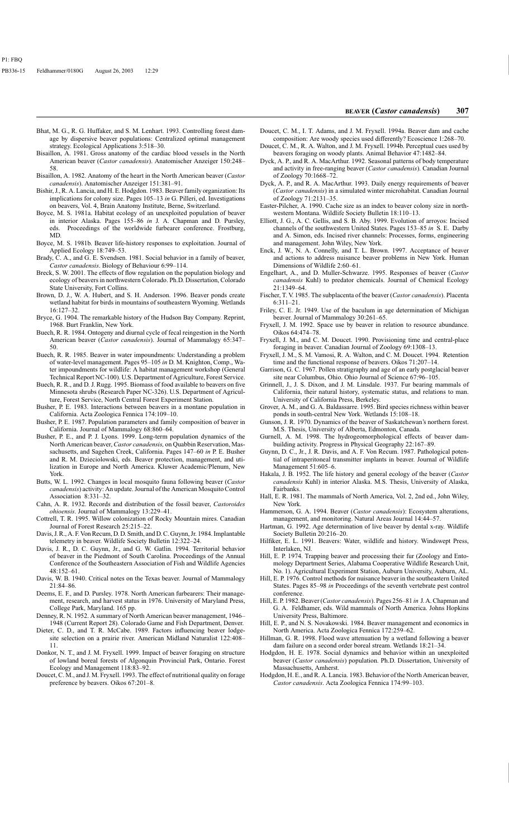- Bhat, M. G., R. G. Huffaker, and S. M. Lenhart. 1993. Controlling forest damage by dispersive beaver populations: Centralized optimal management strategy. Ecological Applications 3:518–30.
- Bisaillon, A. 1981. Gross anatomy of the cardiac blood vessels in the North American beaver (*Castor canadensis*). Anatomischer Anzeiger 150:248– 58.
- Bisaillon, A. 1982. Anatomy of the heart in the North American beaver (*Castor canadensis*). Anatomischer Anzeiger 151:381–91.
- Bishir, J., R. A. Lancia, and H. E. Hodgdon. 1983. Beaver family organization: Its implications for colony size. Pages 105–13 *in* G. Pilleri, ed. Investigations on beavers, Vol. 4, Brain Anatomy Institute, Berne, Switzerland.
- Boyce, M. S. 1981a. Habitat ecology of an unexploited population of beaver in interior Alaska. Pages 155–86 *in* J. A. Chapman and D. Pursley, eds. Proceedings of the worldwide furbearer conference. Frostburg, MD.
- Boyce, M. S. 1981b. Beaver life-history responses to exploitation. Journal of Applied Ecology 18:749–53.
- Brady, C. A., and G. E. Svendsen. 1981. Social behavior in a family of beaver, *Castor canadensis*. Biology of Behaviour 6:99–114.
- Breck, S. W. 2001. The effects of flow regulation on the population biology and ecology of beavers in northwestern Colorado. Ph.D. Dissertation, Colorado State University, Fort Collins.
- Brown, D. J., W. A. Hubert, and S. H. Anderson. 1996. Beaver ponds create wetland habitat for birds in mountains of southeastern Wyoming. Wetlands 16:127–32.
- Bryce, G. 1904. The remarkable history of the Hudson Bay Company. Reprint, 1968. Burt Franklin, New York.
- Buech, R. R. 1984. Ontogeny and diurnal cycle of fecal reingestion in the North American beaver (*Castor canadensis*). Journal of Mammalogy 65:347– 50.
- Buech, R. R. 1985. Beaver in water impoundments: Understanding a problem of water-level management. Pages 95–105 *in* D. M. Knighton, Comp., Water impoundments for wildlife: A habitat management workshop (General Technical Report NC-100). U.S. Department of Agriculture, Forest Service.
- Buech, R. R., and D. J. Rugg. 1995. Biomass of food available to beavers on five Minnesota shrubs (Research Paper NC-326). U.S. Department of Agriculture, Forest Service, North Central Forest Experiment Station.
- Busher, P. E. 1983. Interactions between beavers in a montane population in California. Acta Zoologica Fennica 174:109–10.
- Busher, P. E. 1987. Population parameters and family composition of beaver in California. Journal of Mammalogy 68:860–64.
- Busher, P. E., and P. J. Lyons. 1999. Long-term population dynamics of the North American beaver, *Castor canadensis,* on Quabbin Reservation, Massachusetts, and Sagehen Creek, California. Pages 147–60 *in* P. E. Busher and R. M. Dzieciolowski, eds. Beaver protection, management, and utilization in Europe and North America. Kluwer Academic/Plenum, New York.
- Butts, W. L. 1992. Changes in local mosquito fauna following beaver (*Castor canadensis*) activity: An update. Journal of the American Mosquito Control Association 8:331–32.
- Cahn, A. R. 1932. Records and distribution of the fossil beaver, *Castoroides ohioensis*. Journal of Mammalogy 13:229–41.
- Cottrell, T. R. 1995. Willow colonization of Rocky Mountain mires. Canadian Journal of Forest Research 25:215–22.
- Davis, J. R., A. F. Von Recum, D. D. Smith, and D. C. Guynn, Jr. 1984. Implantable telemetry in beaver. Wildlife Society Bulletin 12:322–24.
- Davis, J. R., D. C. Guynn, Jr., and G. W. Gatlin. 1994. Territorial behavior of beaver in the Piedmont of South Carolina. Proceedings of the Annual Conference of the Southeastern Association of Fish and Wildlife Agencies 48:152–61.
- Davis, W. B. 1940. Critical notes on the Texas beaver. Journal of Mammalogy 21:84–86.
- Deems, E. F., and D. Pursley. 1978. North American furbearers: Their management, research, and harvest status in 1976. University of Maryland Press, College Park, Maryland. 165 pp.
- Denney, R. N. 1952. A summary of North American beaver management, 1946– 1948 (Current Report 28). Colorado Game and Fish Department, Denver.
- Dieter, C. D., and T. R. McCabe. 1989. Factors influencing beaver lodgesite selection on a prairie river. American Midland Naturalist 122:408– 11.
- Donkor, N. T., and J. M. Fryxell. 1999. Impact of beaver foraging on structure of lowland boreal forests of Algonquin Provincial Park, Ontario. Forest Ecology and Management 118:83–92.
- Doucet, C. M., and J. M. Fryxell. 1993. The effect of nutritional quality on forage preference by beavers. Oikos 67:201–8.

**BEAVER (***Castor canadensis***) 307** 

- Doucet, C. M., I. T. Adams, and J. M. Fryxell. 1994a. Beaver dam and cache composition: Are woody species used differently? Ecoscience 1:268–70.
- Doucet, C. M., R. A. Walton, and J. M. Fryxell. 1994b. Perceptual cues used by beavers foraging on woody plants. Animal Behavior 47:1482–84.
- Dyck, A. P., and R. A. MacArthur. 1992. Seasonal patterns of body temperature and activity in free-ranging beaver (*Castor canadensis*). Canadian Journal of Zoology 70:1668–72.
- Dyck, A. P., and R. A. MacArthur. 1993. Daily energy requirements of beaver (*Castor canadensis*) in a simulated winter microhabitat. Canadian Journal of Zoology 71:2131–35.
- Easter-Pilcher, A. 1990. Cache size as an index to beaver colony size in northwestern Montana. Wildlife Society Bulletin 18:110–13.
- Elliott, J. G., A. C. Gellis, and S. B. Aby. 1999. Evolution of arroyos: Incised channels of the southwestern United States. Pages 153–85 *in* S. E. Darby and A. Simon, eds. Incised river channels: Processes, forms, engineering and management. John Wiley, New York.
- Enck, J. W., N. A. Connelly, and T. L. Brown. 1997. Acceptance of beaver and actions to address nuisance beaver problems in New York. Human Dimensions of Wildlife 2:60–61.
- Engelhart, A., and D. Muller-Schwarze. 1995. Responses of beaver (*Castor canadensis* Kuhl) to predator chemicals. Journal of Chemical Ecology 21:1349–64.
- Fischer, T. V. 1985. The subplacenta of the beaver (*Castor canadensis*). Placenta 6:311–21.
- Friley, C. E. Jr. 1949. Use of the baculum in age determination of Michigan beaver. Journal of Mammalogy 30:261–65.
- Fryxell, J. M. 1992. Space use by beaver in relation to resource abundance. Oikos 64:474–78.
- Fryxell, J. M., and C. M. Doucet. 1990. Provisioning time and central-place foraging in beaver. Canadian Journal of Zoology 69:1308–13.
- Fryxell, J. M., S. M. Vamosi, R. A. Walton, and C. M. Doucet. 1994. Retention time and the functional response of beavers. Oikos 71:207–14.
- Garrison, G. C. 1967. Pollen stratigraphy and age of an early postglacial beaver site near Columbus, Ohio. Ohio Journal of Science 67:96–105.
- Grinnell, J., J. S. Dixon, and J. M. Linsdale. 1937. Fur bearing mammals of California, their natural history, systematic status, and relations to man. University of California Press, Berkeley.
- Grover, A. M., and G. A. Baldassarre. 1995. Bird species richness within beaver ponds in south-central New York. Wetlands 15:108–18.
- Gunson, J. R. 1970. Dynamics of the beaver of Saskatchewan's northern forest. M.S. Thesis, University of Alberta, Edmonton, Canada.
- Gurnell, A. M. 1998. The hydrogeomorphological effects of beaver dambuilding activity. Progress in Physical Geography 22:167–89.
- Guynn, D. C., Jr., J. R. Davis, and A. F. Von Recum. 1987. Pathological potential of intraperitoneal transmitter implants in beaver. Journal of Wildlife Management 51:605–6.
- Hakala, J. B. 1952. The life history and general ecology of the beaver (*Castor canadensis* Kuhl) in interior Alaska. M.S. Thesis, University of Alaska, Fairbanks.
- Hall, E. R. 1981. The mammals of North America, Vol. 2, 2nd ed., John Wiley, New York.
- Hammerson, G. A. 1994. Beaver (*Castor canadensis*): Ecosystem alterations, management, and monitoring. Natural Areas Journal 14:44–57.
- Hartman, G. 1992. Age determination of live beaver by dental x-ray. Wildlife Society Bulletin 20:216–20.
- Hilfiker, E. L. 1991. Beavers: Water, wildlife and history. Windswept Press, Interlaken, NJ.
- Hill, E. P. 1974. Trapping beaver and processing their fur (Zoology and Entomology Department Series, Alabama Cooperative Wildlife Research Unit, No. 1). Agricultural Experiment Station, Auburn University, Auburn, AL.
- Hill, E. P. 1976. Control methods for nuisance beaver in the southeastern United States. Pages 85–98 *in* Proceedings of the seventh vertebrate pest control conference.
- Hill, E. P. 1982. Beaver (*Castor canadensis*). Pages 256–81 *in* J. A. Chapman and G. A. Feldhamer, eds. Wild mammals of North America. Johns Hopkins University Press, Baltimore.
- Hill, E. P., and N. S. Novakowski. 1984. Beaver management and economics in North America. Acta Zoologica Fennica 172:259–62.
- Hillman, G. R. 1998. Flood wave attenuation by a wetland following a beaver dam failure on a second order boreal stream. Wetlands 18:21–34.
- Hodgdon, H. E. 1978. Social dynamics and behavior within an unexploited beaver (*Castor canadensis*) population. Ph.D. Dissertation, University of Massachusetts, Amherst.
- Hodgdon, H. E., and R. A. Lancia. 1983. Behavior of the North American beaver, *Castor canadensis*. Acta Zoologica Fennica 174:99–103.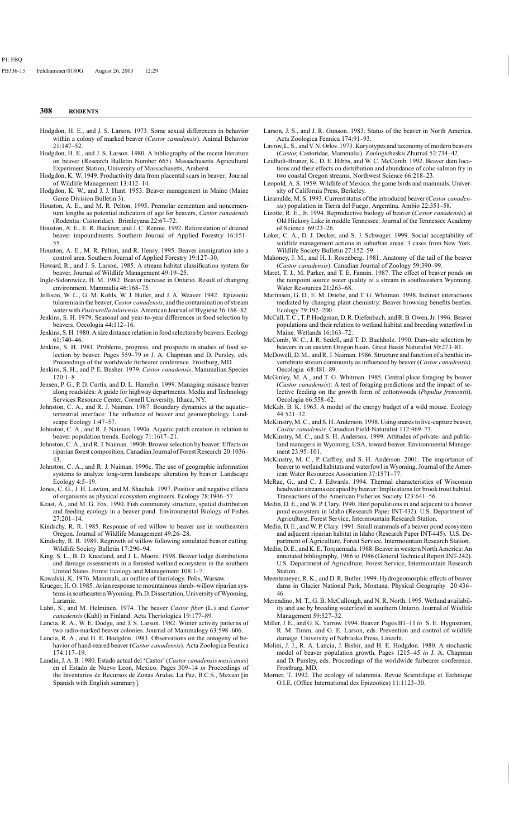- Hodgdon, H. E., and J. S. Larson. 1973. Some sexual differences in behavior within a colony of marked beaver (*Castor canadensis*). Animal Behavior 21:147–52.
- Hodgdon, H. E., and J. S. Larson. 1980. A bibliography of the recent literature on beaver (Research Bulletin Number 665). Massachusetts Agricultural Experiment Station, University of Massachusetts, Amherst.
- Hodgdon, K. W. 1949. Productivity data from placental scars in beaver. Journal of Wildlife Management 13:412–14.
- Hodgdon, K. W., and J. J. Hunt. 1953. Beaver management in Maine (Maine Game Division Bulletin 3).
- Houston, A. E., and M. R. Pelton. 1995. Premolar cementum and noncementum lengths as potential indicators of age for beavers, *Castor canadensis*  (Rodentia: Castoridae). Brimleyana 22:67–72.
- Houston, A. E., E. R. Buckner, and J. C. Rennie. 1992. Reforestation of drained beaver impoundments. Southern Journal of Applied Forestry 16:151– 55.
- Houston, A. E., M. R. Pelton, and R. Henry. 1995. Beaver immigration into a control area. Southern Journal of Applied Forestry 19:127–30.
- Howard, R., and J. S. Larson. 1985. A stream habitat classification system for beaver. Journal of Wildlife Management 49:19–25.
- Ingle-Sidorowicz, H. M. 1982. Beaver increase in Ontario. Result of changing environment. Mammalia 46:168–75.
- Jellison, W. L., G. M. Kohls, W. J. Butler, and J. A. Weaver. 1942. Epizootic tularemia in the beaver, *Castor canadensis,* and the contamination of stream water with *Pasteurella tularensis*. American Journal of Hygiene 36:168–82.
- Jenkins, S. H. 1979. Seasonal and year-to-year differences in food selection by beavers. Oecologia 44:112–16.
- Jenkins, S. H. 1980. A size distance relation in food selection by beavers. Ecology 61:740–46.
- Jenkins, S. H. 1981. Problems, progress, and prospects in studies of food selection by beaver. Pages 559–79 *in* J. A. Chapman and D. Pursley, eds. Proceedings of the worldwide furbearer conference. Frostburg, MD.
- Jenkins, S. H., and P. E. Busher. 1979. *Castor canadensis*. Mammalian Species 120:1–8.
- Jensen, P. G., P. D. Curtis, and D. L. Hamelin. 1999. Managing nuisance beaver along roadsides: A guide for highway departments. Media and Technology Services Resource Center, Cornell University, Ithaca, NY.
- Johnston, C. A., and R. J. Naiman. 1987. Boundary dynamics at the aquatic– terrestrial interface: The influence of beaver and geomorphology. Landscape Ecology 1:47–57.
- Johnston, C. A., and R. J. Naiman. 1990a. Aquatic patch creation in relation to beaver population trends. Ecology 71:1617–21.
- Johnston, C. A., and R. J. Naiman. 1990b. Browse selection by beaver: Effects on riparian forest composition. Canadian Journal of Forest Research 20:1036– 43.
- Johnston, C. A., and R. J. Naiman. 1990c. The use of geographic information systems to analyze long-term landscape alteration by beaver. Landscape Ecology 4:5–19.
- Jones, C. G., J. H. Lawton, and M. Shachak. 1997. Positive and negative effects of organisms as physical ecosystem engineers. Ecology 78:1946–57.
- Keast, A., and M. G. Fox. 1990. Fish community structure, spatial distribution and feeding ecology in a beaver pond. Environmental Biology of Fishes 27:201–14.
- Kindschy, R. R. 1985. Response of red willow to beaver use in southeastern Oregon. Journal of Wildlife Management 49:26–28.
- Kindschy, R. R. 1989. Regrowth of willow following simulated beaver cutting. Wildlife Society Bulletin 17:290–94.
- King, S. L., B. D. Kneeland, and J. L. Moore. 1998. Beaver lodge distributions and damage assessments in a forested wetland ecosystem in the southern United States. Forest Ecology and Management 108:1–7.
- Kowalski, K. 1976. Mammals, an outline of theriology. Polis, Warsaw.
- Krueger, H. O. 1985. Avian response to mountainous shrub–willow riparian systems in southeastern Wyoming. Ph.D. Dissertation, University of Wyoming, Laramie.
- Lahti, S., and M. Helminen. 1974. The beaver *Castor fiber* (L.) and *Castor canadensis* (Kuhl) in Finland. Acta Theriologica 19:177–89.
- Lancia, R. A., W. E. Dodge, and J. S. Larson. 1982. Winter activity patterns of two radio-marked beaver colonies. Journal of Mammalogy 63:598–606.
- Lancia, R. A., and H. E. Hodgdon. 1983. Observations on the ontogeny of behavior of hand-reared beaver (*Castor canadensis*). Acta Zoologica Fennica 174:117–19.
- Landin, J. A. B. 1980. Estado actual del 'Castor' (*Castor canadensis mexicanus*) en el Estado de Nuevo Leon, Mexico. Pages 309–14 *in* Proceedings of the Inventarios de Recursos de Zonas Aridas. La Paz, B.C.S., Mexico [in Spanish with English summary].
- Larson, J. S., and J. R. Gunson. 1983. Status of the beaver in North America. Acta Zoologica Fennica 174:91–93.
- Lavrov, L. S., and V. N. Orlov. 1973. Karyotypes and taxonomy of modern beavers (*Castor,* Castoridae, Mammalia). Zoologicheskii Zhurnal 52:734–42.
- Leidholt-Bruner, K., D. E. Hibbs, and W. C. McComb. 1992. Beaver dam locations and their effects on distribution and abundance of coho salmon fry in two coastal Oregon streams. Northwest Science 66:218–23.
- Leopold, A. S. 1959. Wildlife of Mexico, the game birds and mammals. University of California Press, Berkeley.
- Lizarralde, M. S. 1993. Current status of the introduced beaver (*Castor canadensis*) population in Tierra del Fuego, Argentina. Ambio 22:351–58.
- Lizotte, R. E., Jr. 1994. Reproductive biology of beaver (*Castor canadensis*) at Old Hickory Lake in middle Tennessee. Journal of the Tennessee Academy of Science 69:23–26.
- Loker, C. A., D. J. Decker, and S. J. Schwager. 1999. Social acceptability of wildlife management actions in suburban areas: 3 cases from New York. Wildlife Society Bulletin 27:152–59.
- Mahoney, J. M., and H. I. Rosenberg. 1981. Anatomy of the tail of the beaver (*Castor canadensis*). Canadian Journal of Zoology 59:390–99.
- Maret, T. J., M. Parker, and T. E. Fannin. 1987. The effect of beaver ponds on the nonpoint source water quality of a stream in southwestern Wyoming. Water Resources 21:263–68.
- Martinsen, G. D., E. M. Driebe, and T. G. Whitman. 1998. Indirect interactions mediated by changing plant chemistry: Beaver browsing benefits beetles. Ecology 79:192–200.
- McCall, T. C., T. P. Hodgman, D. R. Diefenbach, and R. B. Owen, Jr. 1996. Beaver populations and their relation to wetland habitat and breeding waterfowl in Maine. Wetlands 16:163–72.
- McComb, W. C., J. R. Sedell, and T. D. Buchholz. 1990. Dam-site selection by beavers in an eastern Oregon basin. Great Basin Naturalist 50:273–81.
- McDowell, D. M., and R. J. Naiman. 1986. Structure and function of a benthic invertebrate stream community as influenced by beaver (*Castor canadensis*). Oecologia 68:481–89.
- McGinley, M. A., and T. G. Whitman. 1985. Central place foraging by beaver (*Castor canadensis*): A test of foraging predictions and the impact of selective feeding on the growth form of cottonwoods (*Populus fremontii*). Oecologia 66:558–62.
- McKab, B. K. 1963. A model of the energy budget of a wild mouse. Ecology 44:521–32.
- McKinstry, M. C., and S. H. Anderson. 1998. Using snares to live-capture beaver, *Castor canadensis*. Canadian Field-Naturalist 112:469–73.
- McKinstry, M. C., and S. H. Anderson. 1999. Attitudes of private- and publicland managers in Wyoming, USA, toward beaver. Environmental Management 23:95–101.
- McKinstry, M. C., P. Caffrey, and S. H. Anderson. 2001. The importance of beaver to wetland habitats and waterfowl in Wyoming. Journal of the American Water Resources Association 37:1571–77.
- McRae, G., and C. J. Edwards. 1994. Thermal characteristics of Wisconsin headwater streams occupied by beaver: Implications for brook trout habitat. Transactions of the American Fisheries Society 123:641–56.
- Medin, D. E., and W. P. Clary. 1990. Bird populations in and adjacent to a beaver pond ecosystem in Idaho (Research Paper INT-432). U.S. Department of Agriculture, Forest Service, Intermountain Research Station.
- Medin, D. E., and W. P. Clary. 1991. Small mammals of a beaver pond ecosystem and adjacent riparian habitat in Idaho (Research Paper INT-445). U.S. Department of Agriculture, Forest Service, Intermountain Research Station.
- Medin, D. E., and K. E. Torquemada. 1988. Beaver in western North America: An annotated bibliography, 1966 to 1986 (General Technical Report INT-242). U.S. Department of Agriculture, Forest Service, Intermountain Research Station.
- Meentemeyer, R. K., and D. R. Butler. 1999. Hydrogeomorphic effects of beaver dams in Glacier National Park, Montana. Physical Geography 20:436– 46.
- Merendino, M. T., G. B. McCullough, and N. R. North. 1995. Wetland availability and use by breeding waterfowl in southern Ontario. Journal of Wildlife Management 59:527–32.
- Miller, J. E., and G. K. Yarrow. 1994. Beaver. Pages B1–11 *in* S. E. Hygnstrom, R. M. Timm, and G. E. Larson, eds. Prevention and control of wildlife damage. University of Nebraska Press, Lincoln.
- Molini, J. J., R. A. Lancia, J. Bishir, and H. E. Hodgdon. 1980. A stochastic model of beaver population growth. Pages 1215–45 *in* J. A. Chapman and D. Pursley, eds. Proceedings of the worldwide furbearer conference. Frostburg, MD.
- Morner, T. 1992. The ecology of tularemia. Revue Scientifique et Technique O.I.E. (Office International des Epizooties) 11:1123–30.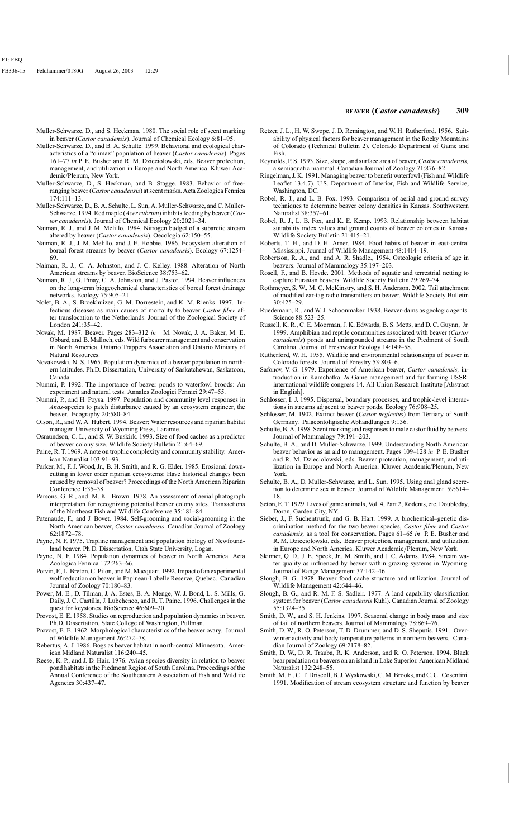- Muller-Schwarze, D., and S. Heckman. 1980. The social role of scent marking in beaver (*Castor canadensis*). Journal of Chemical Ecology 6:81–95.
- Muller-Schwarze, D., and B. A. Schulte. 1999. Behavioral and ecological characteristics of a "climax" population of beaver (*Castor canadensis*). Pages 161–77 *in* P. E. Busher and R. M. Dzieciolowski, eds. Beaver protection, management, and utilization in Europe and North America. Kluwer Academic/Plenum, New York.
- Muller-Schwarze, D., S. Heckman, and B. Stagge. 1983. Behavior of freeranging beaver (*Castor canadensis*) at scent marks. Acta Zoologica Fennica 174:111–13.
- Muller-Schwarze, D., B. A. Schulte, L. Sun, A. Muller-Schwarze, and C. Muller-Schwarze. 1994. Red maple (*Acer rubrum*) inhibits feeding by beaver (*Castor canadensis*). Journal of Chemical Ecology 20:2021–34.
- Naiman, R. J., and J. M. Melillo. 1984. Nitrogen budget of a subarctic stream altered by beaver (*Castor canadensis*). Oecologia 62:150–55.
- Naiman, R. J., J. M. Melillo, and J. E. Hobbie. 1986. Ecosystem alteration of boreal forest streams by beaver (*Castor canadensis*). Ecology 67:1254– 69.
- Naiman, R. J., C. A. Johnston, and J. C. Kelley. 1988. Alteration of North American streams by beaver. BioScience 38:753–62.
- Naiman, R. J., G. Pinay, C. A. Johnston, and J. Pastor. 1994. Beaver influences on the long-term biogeochemical characteristics of boreal forest drainage networks. Ecology 75:905–21.
- Nolet, B. A., S. Broekhuizen, G. M. Dorrestein, and K. M. Rienks. 1997. Infectious diseases as main causes of mortality to beaver *Castor fiber* after translocation to the Netherlands. Journal of the Zoological Society of London 241:35–42.
- Novak, M. 1987. Beaver. Pages 283–312 *in* M. Novak, J. A. Baker, M. E. Obbard, and B. Malloch, eds. Wild furbearer management and conservation in North America. Ontario Trappers Association and Ontario Ministry of Natural Resources.
- Novakowski, N. S. 1965. Population dynamics of a beaver population in northern latitudes. Ph.D. Dissertation, University of Saskatchewan, Saskatoon, Canada.
- Nummi, P. 1992. The importance of beaver ponds to waterfowl broods: An experiment and natural tests. Annales Zoologici Fennici 29:47–55.
- Nummi, P., and H. Poysa. 1997. Population and community level responses in *Anas*-species to patch disturbance caused by an ecosystem engineer, the beaver. Ecography 20:580–84.
- Olson, R., and W. A. Hubert. 1994. Beaver: Water resources and riparian habitat manager. University of Wyoming Press, Laramie.
- Osmundson, C. L., and S. W. Buskirk. 1993. Size of food caches as a predictor of beaver colony size. Wildlife Society Bulletin 21:64–69.
- Paine, R. T. 1969. A note on trophic complexity and community stability. American Naturalist 103:91–93.
- Parker, M., F. J. Wood, Jr., B. H. Smith, and R. G. Elder. 1985. Erosional downcutting in lower order riparian ecosystems: Have historical changes been caused by removal of beaver? Proceedings of the North American Riparian Conference 1:35–38.
- Parsons, G. R., and M. K. Brown. 1978. An assessment of aerial photograph interpretation for recognizing potential beaver colony sites. Transactions of the Northeast Fish and Wildlife Conference 35:181–84.
- Patenaude, F., and J. Bovet. 1984. Self-grooming and social-grooming in the North American beaver, *Castor canadensis*. Canadian Journal of Zoology 62:1872–78.
- Payne, N. F. 1975. Trapline management and population biology of Newfoundland beaver. Ph.D. Dissertation, Utah State University, Logan.
- Payne, N. F. 1984. Population dynamics of beaver in North America. Acta Zoologica Fennica 172:263–66.
- Potvin, F., L. Breton, C. Pilon, and M. Macquart. 1992. Impact of an experimental wolf reduction on beaver in Papineau-Labelle Reserve, Quebec. Canadian Journal of Zoology 70:180–83.
- Power, M. E., D. Tilman, J. A. Estes, B. A. Menge, W. J. Bond, L. S. Mills, G. Daily, J. C. Castilla, J. Lubchenco, and R. T. Paine. 1996. Challenges in the quest for keystones. BioScience 46:609–20.
- Provost, E. E. 1958. Studies on reproduction and population dynamics in beaver. Ph.D. Dissertation, State College of Washington, Pullman.
- Provost, E. E. 1962. Morphological characteristics of the beaver ovary. Journal of Wildlife Management 26:272–78.
- Rebertus, A. J. 1986. Bogs as beaver habitat in north-central Minnesota. American Midland Naturalist 116:240–45.
- Reese, K. P., and J. D. Hair. 1976. Avian species diversity in relation to beaver pond habitats in the Piedmont Region of South Carolina. Proceedings of the Annual Conference of the Southeastern Association of Fish and Wildlife Agencies 30:437–47.
- Retzer, J. L., H. W. Swope, J. D. Remington, and W. H. Rutherford. 1956. Suitability of physical factors for beaver management in the Rocky Mountains of Colorado (Technical Bulletin 2). Colorado Department of Game and Fish.
- Reynolds, P. S. 1993. Size, shape, and surface area of beaver, *Castor canadensis,*  a semiaquatic mammal. Canadian Journal of Zoology 71:876–82.
- Ringelman, J. K. 1991. Managing beaver to benefit waterfowl (Fish and Wildlife Leaflet 13.4.7). U.S. Department of Interior, Fish and Wildlife Service, Washington, DC.
- Robel, R. J., and L. B. Fox. 1993. Comparison of aerial and ground survey techniques to determine beaver colony densities in Kansas. Southwestern Naturalist 38:357–61.
- Robel, R. J., L. B. Fox, and K. E. Kemp. 1993. Relationship between habitat suitability index values and ground counts of beaver colonies in Kansas. Wildlife Society Bulletin 21:415–21.
- Roberts, T. H., and D. H. Arner. 1984. Food habits of beaver in east-central Mississippi. Journal of Wildlife Management 48:1414–19.
- Robertson, R. A., and and A. R. Shadle., 1954. Osteologic criteria of age in beavers. Journal of Mammalogy 35:197–203.
- Rosell, F., and B. Hovde. 2001. Methods of aquatic and terrestrial netting to capture Eurasian beavers. Wildlife Society Bulletin 29:269–74.
- Rothmeyer, S. W., M. C. McKinstry, and S. H. Anderson. 2002. Tail attachment of modified ear-tag radio transmitters on beaver. Wildlife Society Bulletin  $30.425 - 29$
- Ruedemann, R., and W. J. Schoonmaker. 1938. Beaver-dams as geologic agents. Science 88:523–25.
- Russell, K. R., C. E. Moorman, J. K. Edwards, B. S. Metts, and D. C. Guynn, Jr. 1999. Amphibian and reptile communities associated with beaver (*Castor canadensis*) ponds and unimpounded streams in the Piedmont of South Carolina. Journal of Freshwater Ecology 14:149–58.
- Rutherford, W. H. 1955. Wildlife and environmental relationships of beaver in Colorado forests. Journal of Forestry 53:803–6.
- Safonov, V. G. 1979. Experience of American beaver, *Castor canadensis,* introduction in Kamchatka. *In* Game management and fur farming USSR: international wildlife congress 14. All Union Research Institute [Abstract in English].
- Schlosser, I. J. 1995. Dispersal, boundary processes, and trophic-level interactions in streams adjacent to beaver ponds. Ecology 76:908–25.
- Schlosser, M. 1902. Extinct beaver (*Castor neglectus*) from Tertiary of South Germany. Palaeontoligische Abhandlungen 9:136.
- Schulte, B. A. 1998. Scent marking and responses to male castor fluid by beavers. Journal of Mammalogy 79:191–203.
- Schulte, B. A., and D. Muller-Schwarze. 1999. Understanding North American beaver behavior as an aid to management. Pages 109–128 *in* P. E. Busher and R. M. Dzieciolowski, eds. Beaver protection, management, and utilization in Europe and North America. Kluwer Academic/Plenum, New York.
- Schulte, B. A., D. Muller-Schwarze, and L. Sun. 1995. Using anal gland secretion to determine sex in beaver. Journal of Wildlife Management 59:614– 18.
- Seton, E. T. 1929. Lives of game animals, Vol. 4, Part 2, Rodents, etc. Doubleday, Doran, Garden City, NY.
- Sieber, J., F. Suchentrunk, and G. B. Hart. 1999. A biochemical–genetic discrimination method for the two beaver species, *Castor fiber* and *Castor canadensis,* as a tool for conservation. Pages 61–65 *in* P. E. Busher and R. M. Dzieciolowski, eds. Beaver protection, management, and utilization in Europe and North America. Kluwer Academic/Plenum, New York.
- Skinner, Q. D., J. E. Speck, Jr., M. Smith, and J. C. Adams. 1984. Stream water quality as influenced by beaver within grazing systems in Wyoming. Journal of Range Management 37:142–46.
- Slough, B. G. 1978. Beaver food cache structure and utilization. Journal of Wildlife Management 42:644–46.
- Slough, B. G., and R. M. F. S. Sadleir. 1977. A land capability classification system for beaver (*Castor canadensis* Kuhl). Canadian Journal of Zoology 55:1324–35.
- Smith, D. W., and S. H. Jenkins. 1997. Seasonal change in body mass and size of tail of northern beavers. Journal of Mammalogy 78:869–76.
- Smith, D. W., R. O. Peterson, T. D. Drummer, and D. S. Sheputis. 1991. Overwinter activity and body temperature patterns in northern beavers. Canadian Journal of Zoology 69:2178–82.
- Smith, D. W., D. R. Trauba, R. K. Anderson, and R. O. Peterson. 1994. Black bear predation on beavers on an island in Lake Superior. American Midland Naturalist 132:248–55.
- Smith, M. E., C. T. Driscoll, B. J. Wyskowski, C. M. Brooks, and C. C. Cosentini. 1991. Modification of stream ecosystem structure and function by beaver